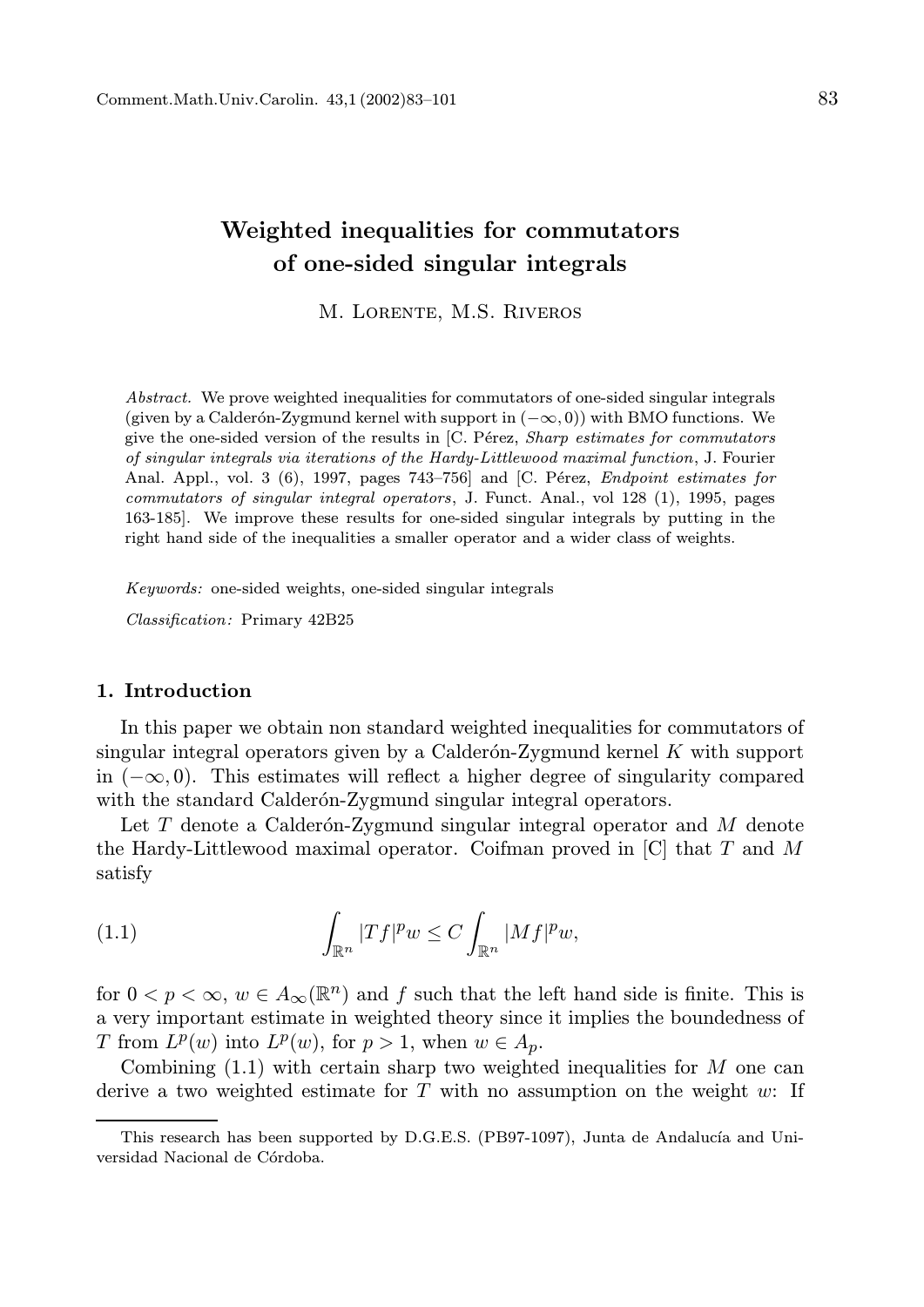# Weighted inequalities for commutators of one-sided singular integrals

M. Lorente, M.S. Riveros

Abstract. We prove weighted inequalities for commutators of one-sided singular integrals (given by a Calderón-Zygmund kernel with support in  $(-\infty, 0)$ ) with BMO functions. We give the one-sided version of the results in  $[C.$  Pérez, Sharp estimates for commutators of singular integrals via iterations of the Hardy-Littlewood maximal function, J. Fourier Anal. Appl., vol. 3 (6), 1997, pages 743–756] and [C. Pérez, *Endpoint estimates for* commutators of singular integral operators, J. Funct. Anal., vol 128 (1), 1995, pages 163-185]. We improve these results for one-sided singular integrals by putting in the right hand side of the inequalities a smaller operator and a wider class of weights.

Keywords: one-sided weights, one-sided singular integrals

Classification: Primary 42B25

# 1. Introduction

In this paper we obtain non standard weighted inequalities for commutators of singular integral operators given by a Calderón-Zygmund kernel  $K$  with support in  $(-\infty, 0)$ . This estimates will reflect a higher degree of singularity compared with the standard Calderón-Zygmund singular integral operators.

Let  $T$  denote a Calderón-Zygmund singular integral operator and  $M$  denote the Hardy-Littlewood maximal operator. Coifman proved in  $[C]$  that T and M satisfy

(1.1) 
$$
\int_{\mathbb{R}^n} |Tf|^p w \leq C \int_{\mathbb{R}^n} |Mf|^p w,
$$

for  $0 < p < \infty$ ,  $w \in A_{\infty}(\mathbb{R}^n)$  and f such that the left hand side is finite. This is a very important estimate in weighted theory since it implies the boundedness of T from  $L^p(w)$  into  $L^p(w)$ , for  $p > 1$ , when  $w \in A_p$ .

Combining  $(1.1)$  with certain sharp two weighted inequalities for M one can derive a two weighted estimate for T with no assumption on the weight  $w$ : If

This research has been supported by D.G.E.S. (PB97-1097), Junta de Andalucía and Universidad Nacional de Córdoba.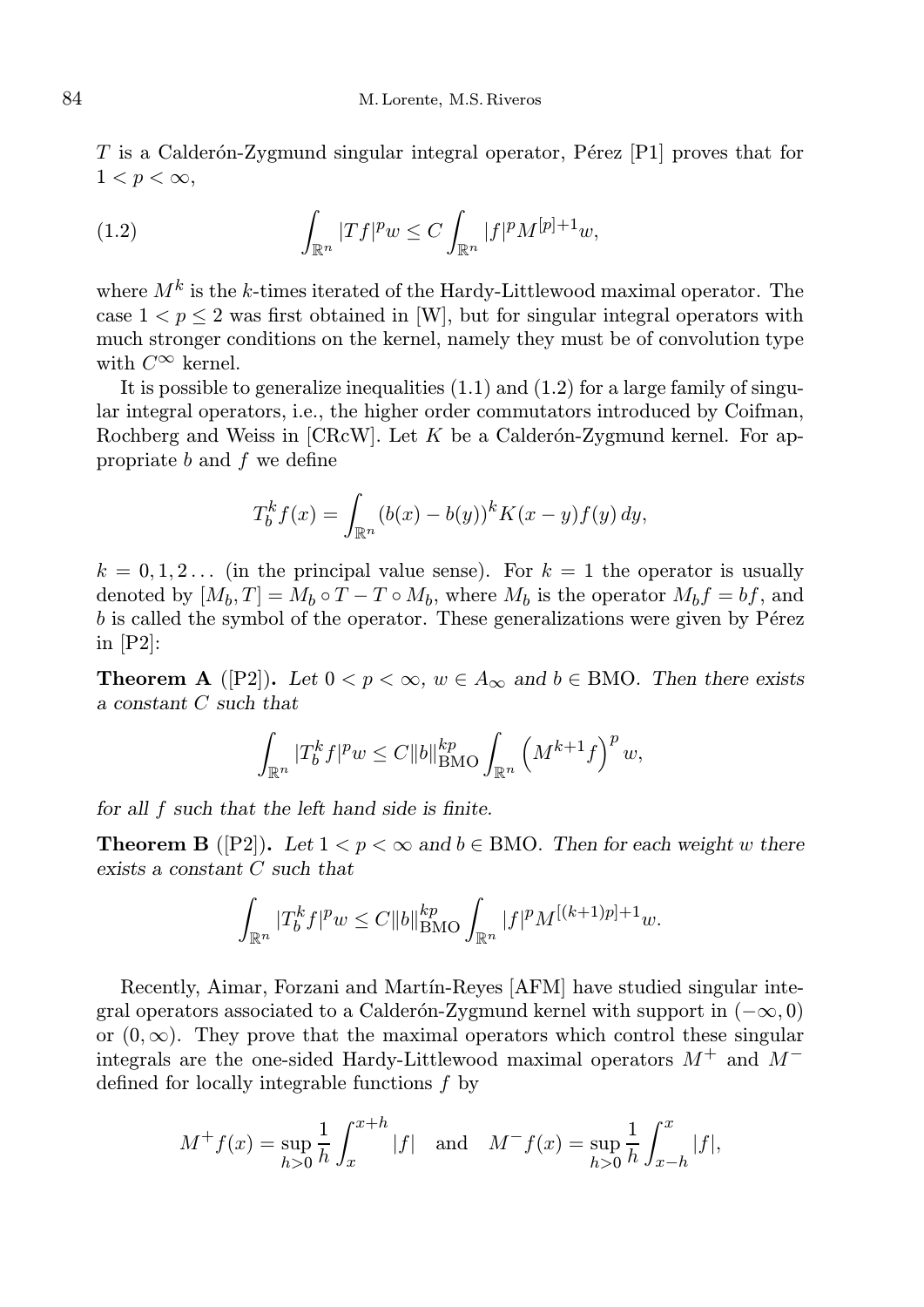T is a Calderón-Zygmund singular integral operator, Pérez [P1] proves that for  $1 < p < \infty$ ,

(1.2) 
$$
\int_{\mathbb{R}^n} |Tf|^p w \le C \int_{\mathbb{R}^n} |f|^p M^{[p]+1} w,
$$

where  $M^k$  is the k-times iterated of the Hardy-Littlewood maximal operator. The case  $1 < p \leq 2$  was first obtained in [W], but for singular integral operators with much stronger conditions on the kernel, namely they must be of convolution type with  $C^{\infty}$  kernel.

It is possible to generalize inequalities  $(1.1)$  and  $(1.2)$  for a large family of singular integral operators, i.e., the higher order commutators introduced by Coifman, Rochberg and Weiss in  $[CRcW]$ . Let K be a Calderón-Zygmund kernel. For appropriate  $b$  and  $f$  we define

$$
T_b^k f(x) = \int_{\mathbb{R}^n} (b(x) - b(y))^k K(x - y) f(y) \, dy,
$$

 $k = 0, 1, 2...$  (in the principal value sense). For  $k = 1$  the operator is usually denoted by  $[M_b, T] = M_b \circ T - T \circ M_b$ , where  $M_b$  is the operator  $M_b f = bf$ , and  $b$  is called the symbol of the operator. These generalizations were given by P $\acute{e}$ rez in [P2]:

**Theorem A** ([P2]). Let  $0 < p < \infty$ ,  $w \in A_{\infty}$  and  $b \in BMO$ . Then there exists a constant C such that

$$
\int_{\mathbb{R}^n} |T_b^k f|^p w \le C \|b\|_{\text{BMO}}^{kp} \int_{\mathbb{R}^n} \left( M^{k+1} f \right)^p w,
$$

for all f such that the left hand side is finite.

**Theorem B** ([P2]). Let  $1 < p < \infty$  and  $b \in BMO$ . Then for each weight w there exists a constant C such that

$$
\int_{\mathbb{R}^n} |T_b^k f|^p w \le C \|b\|_{\text{BMO}}^{kp} \int_{\mathbb{R}^n} |f|^p M^{[(k+1)p]+1} w.
$$

Recently, Aimar, Forzani and Mart´ın-Reyes [AFM] have studied singular integral operators associated to a Calderón-Zygmund kernel with support in  $(-\infty, 0)$ or  $(0, \infty)$ . They prove that the maximal operators which control these singular integrals are the one-sided Hardy-Littlewood maximal operators  $M^+$  and  $M^$ defined for locally integrable functions f by

$$
M^+f(x) = \sup_{h>0} \frac{1}{h} \int_x^{x+h} |f| \text{ and } M^-f(x) = \sup_{h>0} \frac{1}{h} \int_{x-h}^x |f|,
$$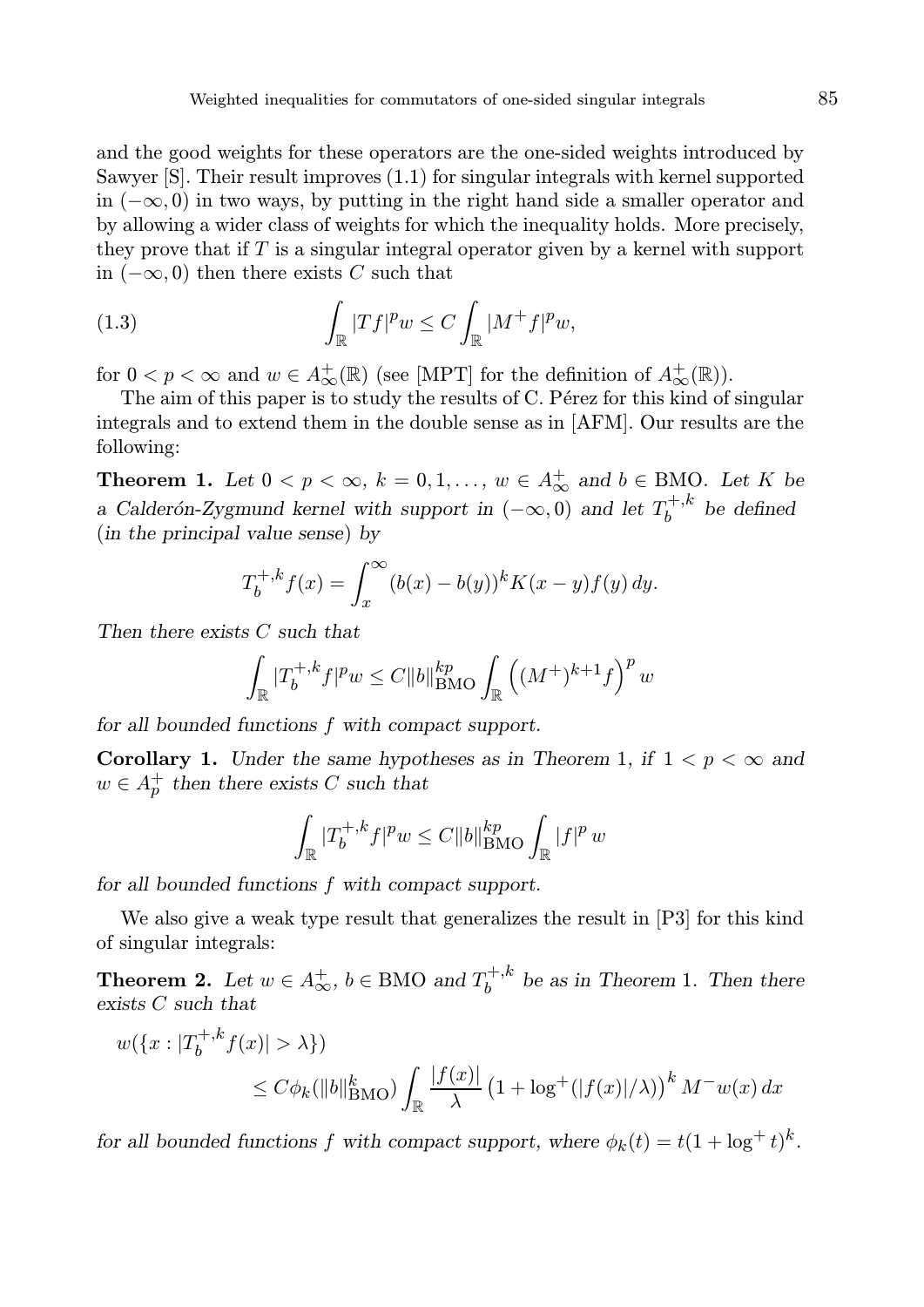and the good weights for these operators are the one-sided weights introduced by Sawyer [S]. Their result improves (1.1) for singular integrals with kernel supported in  $(-\infty, 0)$  in two ways, by putting in the right hand side a smaller operator and by allowing a wider class of weights for which the inequality holds. More precisely, they prove that if  $T$  is a singular integral operator given by a kernel with support in  $(-\infty, 0)$  then there exists C such that

(1.3) 
$$
\int_{\mathbb{R}} |Tf|^p w \leq C \int_{\mathbb{R}} |M^+f|^p w,
$$

for  $0 < p < \infty$  and  $w \in A^+_{\infty}(\mathbb{R})$  (see [MPT] for the definition of  $A^+_{\infty}(\mathbb{R})$ ).

The aim of this paper is to study the results of C. Pérez for this kind of singular integrals and to extend them in the double sense as in [AFM]. Our results are the following:

**Theorem 1.** Let  $0 < p < \infty$ ,  $k = 0, 1, ..., w \in A_{\infty}^+$  and  $b \in BMO$ . Let K be a Calderón-Zygmund kernel with support in  $(-\infty,0)$  and let  $T_h^{+,k}$  $b^{+,k}$  be defined (in the principal value sense) by

$$
T_b^{+,k} f(x) = \int_x^{\infty} (b(x) - b(y))^k K(x - y) f(y) dy.
$$

Then there exists C such that

$$
\int_{\mathbb{R}} |T_b^{+,k} f|^p w \le C \|b\|_{\text{BMO}}^{kp} \int_{\mathbb{R}} \left( (M^+)^{k+1} f \right)^p w
$$

for all bounded functions f with compact support.

Corollary 1. Under the same hypotheses as in Theorem 1, if  $1 < p < \infty$  and  $w \in A_p^+$  then there exists C such that

$$
\int_{\mathbb{R}} |T_b^{+,k} f|^p w \le C \|b\|_{\text{BMO}}^{kp} \int_{\mathbb{R}} |f|^p w
$$

for all bounded functions f with compact support.

We also give a weak type result that generalizes the result in [P3] for this kind of singular integrals:

**Theorem 2.** Let  $w \in A_{\infty}^+$ ,  $b \in BMO$  and  $T_b^{+,k}$  $b^{+,k}$  be as in Theorem 1. Then there exists C such that

$$
w({x:|T_b^{+,k}f(x)|>\lambda})
$$
  

$$
\leq C\phi_k(\|b\|_{\text{BMO}}^k) \int_{\mathbb{R}} \frac{|f(x)|}{\lambda} (1 + \log^+(|f(x)|/\lambda))^k M^{-}w(x) dx
$$

for all bounded functions f with compact support, where  $\phi_k(t) = t(1 + \log^+ t)^k$ .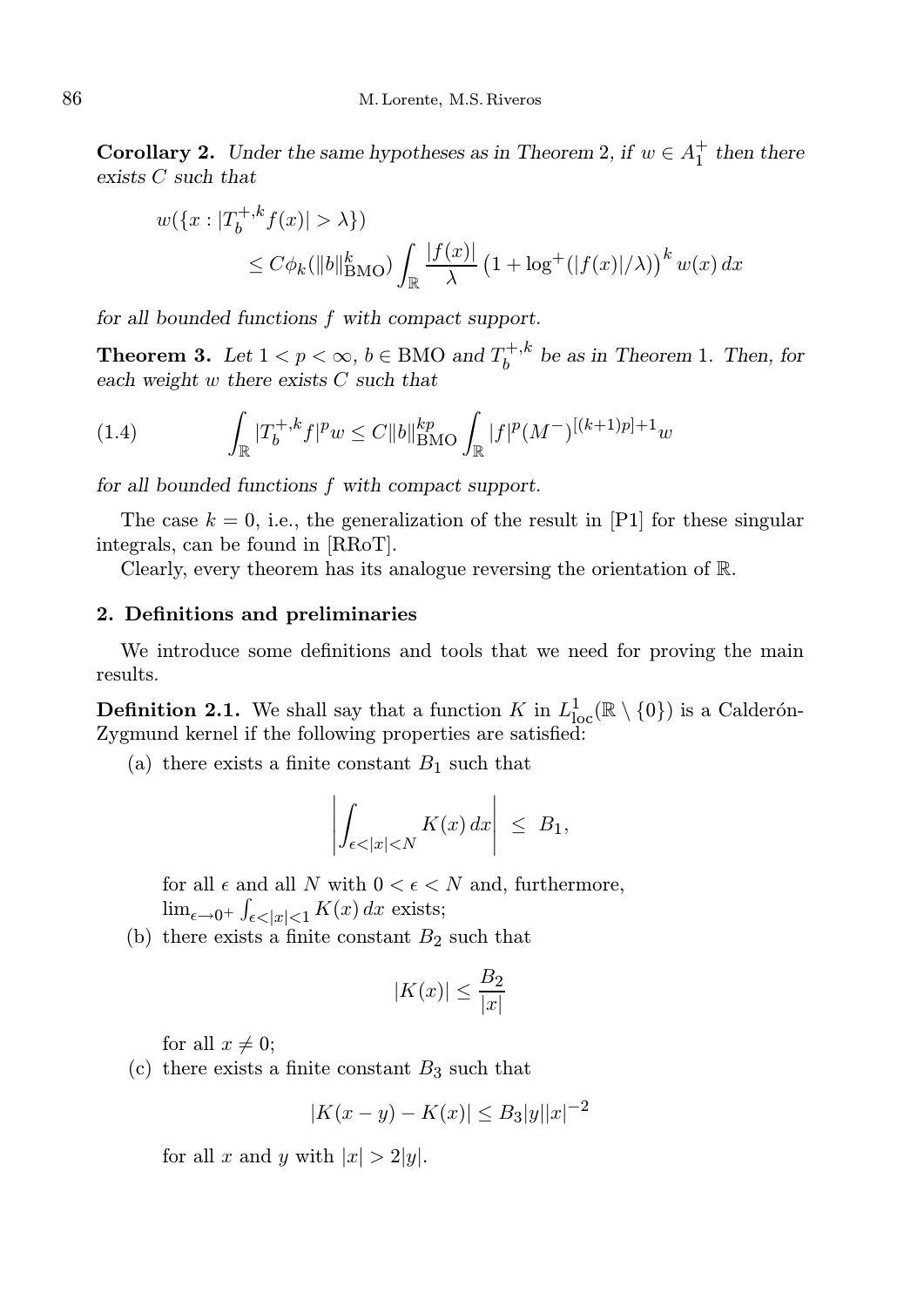**Corollary 2.** Under the same hypotheses as in Theorem 2, if  $w \in A_1^+$  then there exists C such that

$$
w({x:|T_b^{+,k}f(x)|>\lambda})
$$
  
\n
$$
\leq C\phi_k(||b||_{\text{BMO}}^k) \int_{\mathbb{R}} \frac{|f(x)|}{\lambda} (1 + \log^+(|f(x)|/\lambda))^k w(x) dx
$$

for all bounded functions f with compact support.

**Theorem 3.** Let  $1 < p < \infty$ ,  $b \in BMO$  and  $T_h^{+,k}$  $b^{+,k}$  be as in Theorem 1. Then, for each weight w there exists C such that

(1.4) 
$$
\int_{\mathbb{R}} |T_b^{+,k} f|^p w \leq C \|b\|_{\text{BMO}}^{kp} \int_{\mathbb{R}} |f|^p (M^-)^{[(k+1)p]+1} w
$$

for all bounded functions f with compact support.

The case  $k = 0$ , i.e., the generalization of the result in [P1] for these singular integrals, can be found in [RRoT].

Clearly, every theorem has its analogue reversing the orientation of R.

### 2. Definitions and preliminaries

We introduce some definitions and tools that we need for proving the main results.

**Definition 2.1.** We shall say that a function K in  $L^1_{loc}(\mathbb{R} \setminus \{0\})$  is a Calderón-Zygmund kernel if the following properties are satisfied:

(a) there exists a finite constant  $B_1$  such that

$$
\left| \int_{\epsilon < |x| < N} K(x) \, dx \right| \leq B_1,
$$

for all  $\epsilon$  and all N with  $0 < \epsilon < N$  and, furthermore,  $\lim_{\epsilon \to 0^+} \int_{\epsilon < |x| < 1} K(x) dx$  exists;

(b) there exists a finite constant  $B_2$  such that

$$
|K(x)| \le \frac{B_2}{|x|}
$$

for all  $x \neq 0$ ;

(c) there exists a finite constant  $B_3$  such that

$$
|K(x - y) - K(x)| \le B_3 |y||x|^{-2}
$$

for all x and y with  $|x| > 2|y|$ .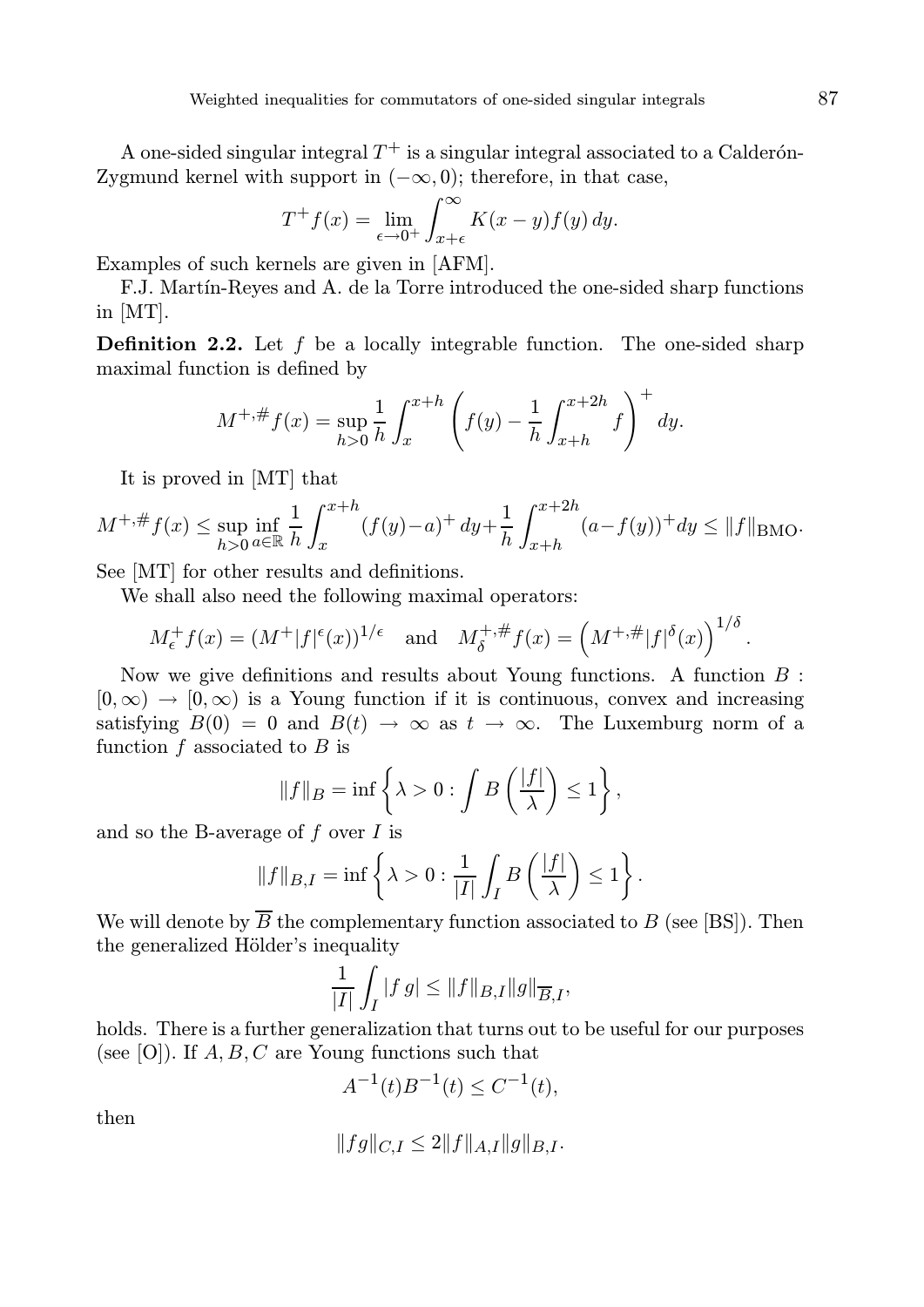A one-sided singular integral  $T^+$  is a singular integral associated to a Calderón-Zygmund kernel with support in  $(-\infty, 0)$ ; therefore, in that case,

$$
T^+f(x) = \lim_{\epsilon \to 0^+} \int_{x+\epsilon}^{\infty} K(x-y)f(y) \, dy.
$$

Examples of such kernels are given in [AFM].

F.J. Martín-Reyes and A. de la Torre introduced the one-sided sharp functions in [MT].

**Definition 2.2.** Let  $f$  be a locally integrable function. The one-sided sharp maximal function is defined by

$$
M^{+, \#} f(x) = \sup_{h>0} \frac{1}{h} \int_x^{x+h} \left( f(y) - \frac{1}{h} \int_{x+h}^{x+2h} f \right)^+ dy.
$$

It is proved in [MT] that

$$
M^{+, \#} f(x) \le \sup_{h>0} \inf_{a\in \mathbb{R}} \frac{1}{h} \int_{x}^{x+h} (f(y)-a)^{+} dy + \frac{1}{h} \int_{x+h}^{x+2h} (a-f(y))^{+} dy \le \|f\|_{\text{BMO}}.
$$

See [MT] for other results and definitions.

We shall also need the following maximal operators:

$$
M_{\epsilon}^+ f(x) = (M^+ |f|^{\epsilon}(x))^{1/\epsilon}
$$
 and  $M_{\delta}^{+, \#} f(x) = (M^{+, \#}|f|^{\delta}(x))^{1/\delta}$ .

Now we give definitions and results about Young functions. A function  $B$ :  $[0, \infty) \rightarrow [0, \infty)$  is a Young function if it is continuous, convex and increasing satisfying  $B(0) = 0$  and  $B(t) \rightarrow \infty$  as  $t \rightarrow \infty$ . The Luxemburg norm of a function  $f$  associated to  $B$  is

$$
||f||_B = \inf \left\{ \lambda > 0 : \int B\left(\frac{|f|}{\lambda}\right) \le 1 \right\},\
$$

and so the B-average of  $f$  over  $I$  is

$$
||f||_{B,I} = \inf \left\{ \lambda > 0 : \frac{1}{|I|} \int_I B\left(\frac{|f|}{\lambda}\right) \le 1 \right\}.
$$

We will denote by  $\overline{B}$  the complementary function associated to B (see [BS]). Then the generalized Hölder's inequality

$$
\frac{1}{|I|} \int_I |f g| \le ||f||_{B,I} ||g||_{\overline{B},I},
$$

holds. There is a further generalization that turns out to be useful for our purposes (see [O]). If  $A, B, C$  are Young functions such that

$$
A^{-1}(t)B^{-1}(t) \le C^{-1}(t),
$$

then

$$
||fg||_{C,I} \le 2||f||_{A,I}||g||_{B,I}.
$$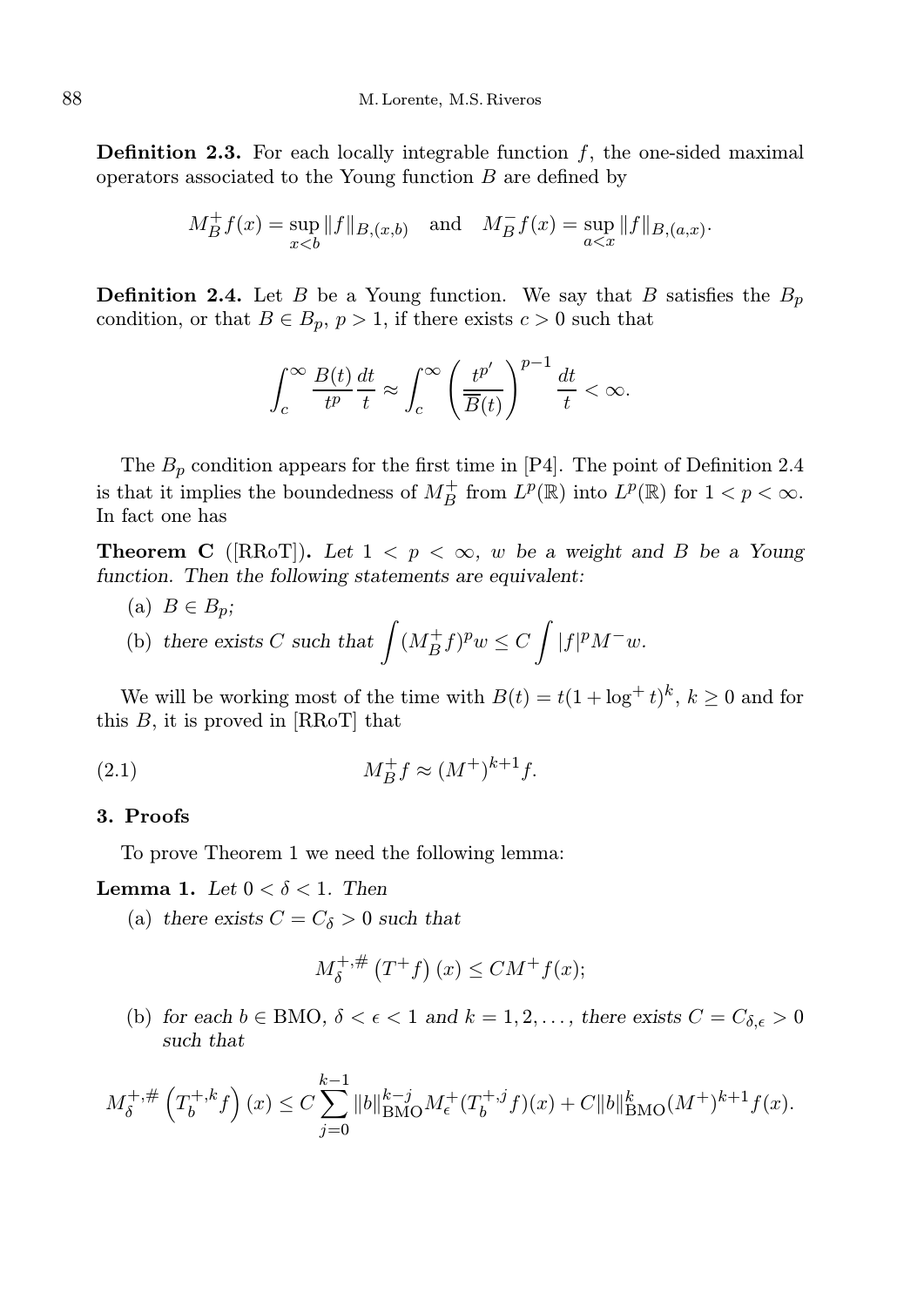**Definition 2.3.** For each locally integrable function  $f$ , the one-sided maximal operators associated to the Young function  $B$  are defined by

$$
M_B^+ f(x) = \sup_{x < b} ||f||_{B,(x,b)} \quad \text{and} \quad M_B^- f(x) = \sup_{a < x} ||f||_{B,(a,x)}.
$$

**Definition 2.4.** Let B be a Young function. We say that B satisfies the  $B_p$ condition, or that  $B \in B_p$ ,  $p > 1$ , if there exists  $c > 0$  such that

$$
\int_c^{\infty} \frac{B(t)}{t^p} \frac{dt}{t} \approx \int_c^{\infty} \left(\frac{t^{p'}}{\overline{B}(t)}\right)^{p-1} \frac{dt}{t} < \infty.
$$

The  $B_p$  condition appears for the first time in [P4]. The point of Definition 2.4 is that it implies the boundedness of  $M_B^+$  from  $L^p(\mathbb{R})$  into  $L^p(\mathbb{R})$  for  $1 < p < \infty$ . In fact one has

**Theorem C** ([RRoT]). Let  $1 < p < \infty$ , w be a weight and B be a Young function. Then the following statements are equivalent:

(a)  $B \in B_p$ ; (b) there exists C such that  $\int (M_B^+ f)^p w \leq C \int |f|^p M^- w$ .

We will be working most of the time with  $B(t) = t(1 + \log^+ t)^k$ ,  $k \ge 0$  and for this  $B$ , it is proved in [RRoT] that

(2.1) 
$$
M_B^+ f \approx (M^+)^{k+1} f
$$
.

# 3. Proofs

To prove Theorem 1 we need the following lemma:

**Lemma 1.** Let  $0 < \delta < 1$ . Then

(a) there exists  $C = C_{\delta} > 0$  such that

$$
M_{\delta}^{+, \#}\left(T^+f\right)(x) \leq CM^+f(x);
$$

(b) for each  $b \in BMO$ ,  $\delta < \epsilon < 1$  and  $k = 1, 2, \ldots$ , there exists  $C = C_{\delta, \epsilon} > 0$ such that

$$
M_{\delta}^{+, \#}\left(T_b^{+, k} f\right)(x) \le C \sum_{j=0}^{k-1} \|b\|_{\text{BMO}}^{k-j} M_{\epsilon}^{+}(T_b^{+, j} f)(x) + C \|b\|_{\text{BMO}}^{k}(M^+)^{k+1} f(x).
$$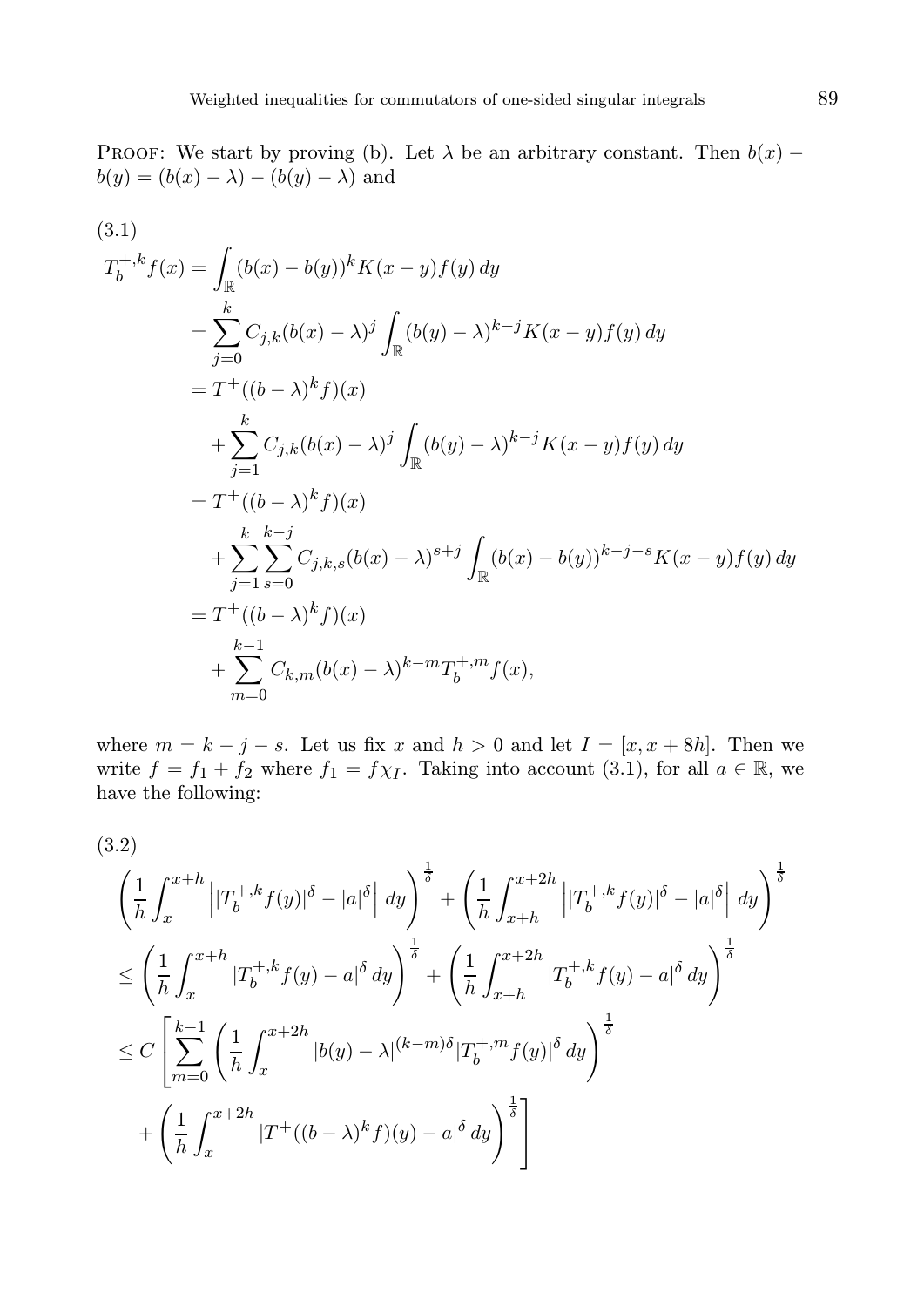PROOF: We start by proving (b). Let  $\lambda$  be an arbitrary constant. Then  $b(x)$  –  $b(y) = (b(x) - \lambda) - (b(y) - \lambda)$  and

(3.1)  
\n
$$
T_b^{+,k} f(x) = \int_{\mathbb{R}} (b(x) - b(y))^k K(x - y) f(y) dy
$$
\n
$$
= \sum_{j=0}^k C_{j,k} (b(x) - \lambda)^j \int_{\mathbb{R}} (b(y) - \lambda)^{k-j} K(x - y) f(y) dy
$$
\n
$$
= T^+((b - \lambda)^k f)(x)
$$
\n
$$
+ \sum_{j=1}^k C_{j,k} (b(x) - \lambda)^j \int_{\mathbb{R}} (b(y) - \lambda)^{k-j} K(x - y) f(y) dy
$$
\n
$$
= T^+((b - \lambda)^k f)(x)
$$
\n
$$
+ \sum_{j=1}^k \sum_{s=0}^{k-j} C_{j,k,s} (b(x) - \lambda)^{s+j} \int_{\mathbb{R}} (b(x) - b(y))^{k-j-s} K(x - y) f(y) dy
$$
\n
$$
= T^+((b - \lambda)^k f)(x)
$$
\n
$$
+ \sum_{m=0}^{k-1} C_{k,m} (b(x) - \lambda)^{k-m} T_b^{+,m} f(x),
$$

where  $m = k - j - s$ . Let us fix x and  $h > 0$  and let  $I = [x, x + 8h]$ . Then we write  $f = f_1 + f_2$  where  $f_1 = f \chi_I$ . Taking into account (3.1), for all  $a \in \mathbb{R}$ , we have the following:

(3.2)

$$
\left(\frac{1}{h}\int_{x}^{x+h} \left| |T_{b}^{+,k}f(y)|^{\delta} - |a|^{\delta} \right| dy \right)^{\frac{1}{\delta}} + \left(\frac{1}{h}\int_{x+h}^{x+2h} \left| |T_{b}^{+,k}f(y)|^{\delta} - |a|^{\delta} \right| dy \right)^{\frac{1}{\delta}}
$$
\n
$$
\leq \left(\frac{1}{h}\int_{x}^{x+h} |T_{b}^{+,k}f(y) - a|^{\delta} dy \right)^{\frac{1}{\delta}} + \left(\frac{1}{h}\int_{x+h}^{x+2h} |T_{b}^{+,k}f(y) - a|^{\delta} dy \right)^{\frac{1}{\delta}}
$$
\n
$$
\leq C \left[ \sum_{m=0}^{k-1} \left( \frac{1}{h}\int_{x}^{x+2h} |b(y) - \lambda|^{(k-m)\delta} |T_{b}^{+,m}f(y)|^{\delta} dy \right)^{\frac{1}{\delta}}
$$
\n
$$
+ \left(\frac{1}{h}\int_{x}^{x+2h} |T^{+}((b-\lambda)^{k}f)(y) - a|^{\delta} dy \right)^{\frac{1}{\delta}}
$$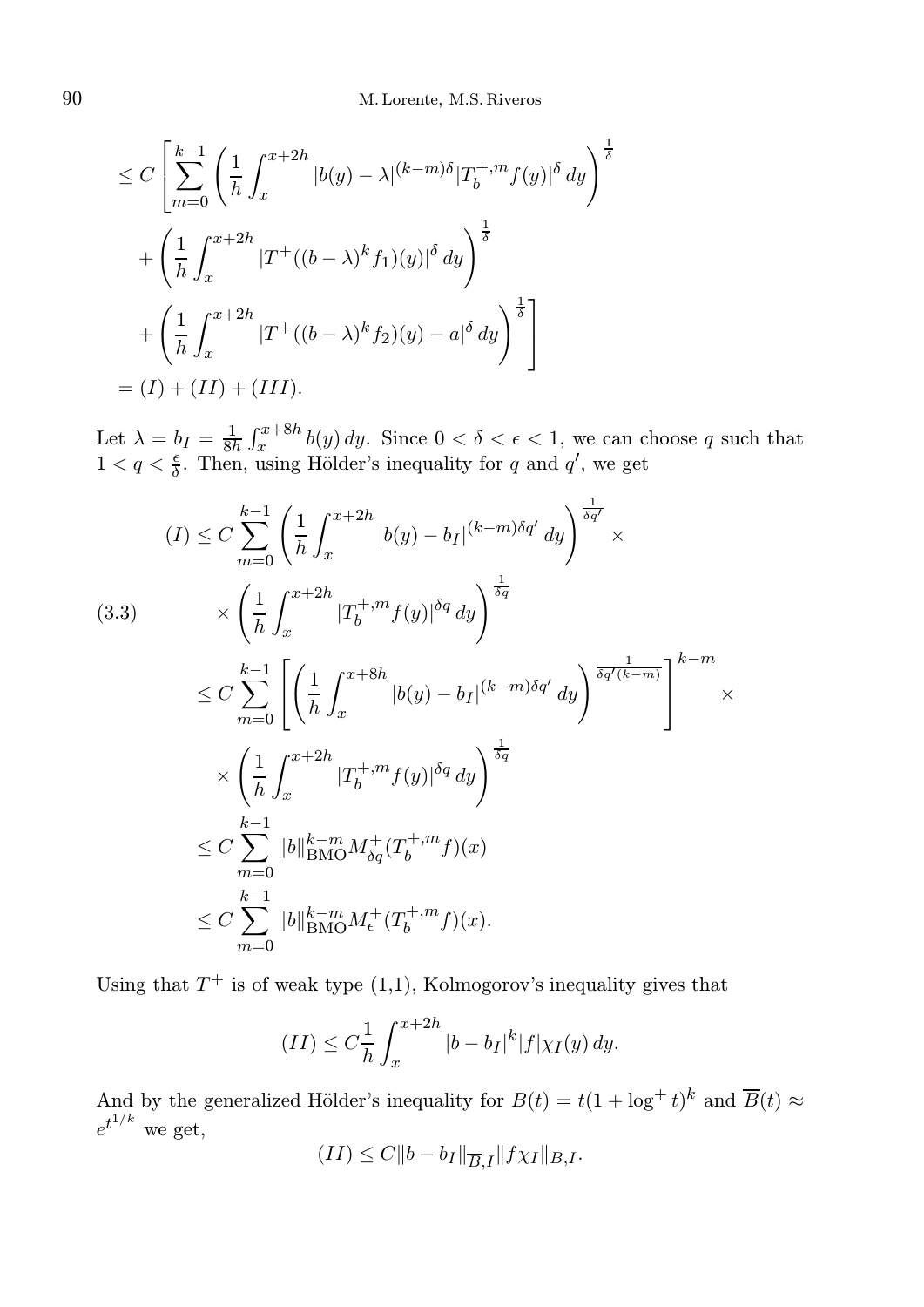$$
\leq C \left[ \sum_{m=0}^{k-1} \left( \frac{1}{h} \int_x^{x+2h} |b(y) - \lambda|^{(k-m)\delta} |T_b^{+,m} f(y)|^{\delta} dy \right)^{\frac{1}{\delta}} + \left( \frac{1}{h} \int_x^{x+2h} |T^+((b-\lambda)^k f_1)(y)|^{\delta} dy \right)^{\frac{1}{\delta}} + \left( \frac{1}{h} \int_x^{x+2h} |T^+((b-\lambda)^k f_2)(y) - a|^{\delta} dy \right)^{\frac{1}{\delta}} \right]
$$
  
=  $(I) + (II) + (III).$ 

Let  $\lambda = b_I = \frac{1}{8h} \int_x^{x+8h} b(y) dy$ . Since  $0 < \delta < \epsilon < 1$ , we can choose q such that  $1 < q < \frac{\epsilon}{\delta}$ . Then, using Hölder's inequality for q and q', we get

$$
(I) \leq C \sum_{m=0}^{k-1} \left( \frac{1}{h} \int_{x}^{x+2h} |b(y) - b_{I}|^{(k-m)\delta q'} dy \right)^{\frac{1}{\delta q'}} \times
$$
\n
$$
(3.3) \qquad \times \left( \frac{1}{h} \int_{x}^{x+2h} |T_{b}^{+,m} f(y)|^{\delta q} dy \right)^{\frac{1}{\delta q}}
$$
\n
$$
\leq C \sum_{m=0}^{k-1} \left[ \left( \frac{1}{h} \int_{x}^{x+8h} |b(y) - b_{I}|^{(k-m)\delta q'} dy \right)^{\frac{1}{\delta q'(k-m)}} \right]^{k-m} \times
$$
\n
$$
\times \left( \frac{1}{h} \int_{x}^{x+2h} |T_{b}^{+,m} f(y)|^{\delta q} dy \right)^{\frac{1}{\delta q}}
$$
\n
$$
\leq C \sum_{m=0}^{k-1} \|b\|_{\text{BMO}}^{k-m} M_{\delta q}^{+}(T_{b}^{+,m} f)(x)
$$
\n
$$
\leq C \sum_{m=0}^{k-1} \|b\|_{\text{BMO}}^{k-m} M_{\epsilon}^{+}(T_{b}^{+,m} f)(x).
$$

Using that  $T^+$  is of weak type  $(1,1)$ , Kolmogorov's inequality gives that

$$
(II) \leq C \frac{1}{h} \int_{x}^{x+2h} |b - b_I|^k |f| \chi_I(y) dy.
$$

And by the generalized Hölder's inequality for  $B(t) = t(1 + \log^+ t)^k$  and  $\overline{B}(t) \approx$  $e^{t^{1/k}}$  we get,

$$
(II) \le C \|b - b_I\|_{\overline{B},I} \|f\chi_I\|_{B,I}.
$$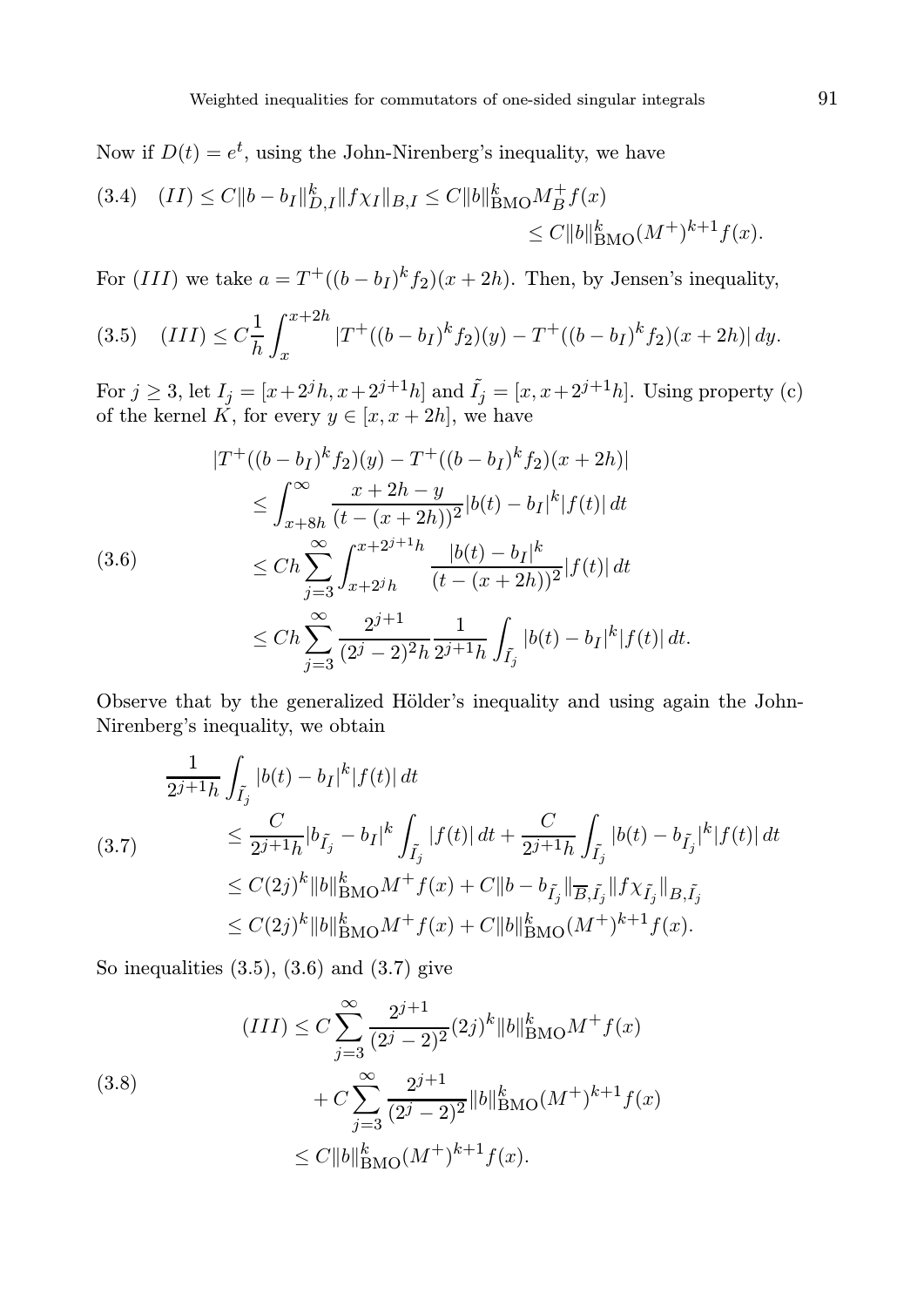Now if  $D(t) = e^t$ , using the John-Nirenberg's inequality, we have

$$
(3.4) \quad (II) \le C \|b - b_I\|_{D,I}^k \|f\chi_I\|_{B,I} \le C \|b\|_{\text{BMO}}^k M_B^+ f(x)
$$
  

$$
\le C \|b\|_{\text{BMO}}^k (M^+)^{k+1} f(x).
$$

For  $(III)$  we take  $a = T^+((b - b_I)^k f_2)(x + 2h)$ . Then, by Jensen's inequality,

$$
(3.5) \quad (III) \le C\frac{1}{h}\int_x^{x+2h} |T^+((b-b_I)^k f_2)(y) - T^+((b-b_I)^k f_2)(x+2h)| \, dy.
$$

For  $j \ge 3$ , let  $I_j = [x + 2<sup>j</sup>h, x + 2<sup>j+1</sup>h]$  and  $\tilde{I}_j = [x, x + 2<sup>j+1</sup>h]$ . Using property (c) of the kernel K, for every  $y \in [x, x + 2h]$ , we have

$$
|T^{+}((b - b_{I})^{k} f_{2})(y) - T^{+}((b - b_{I})^{k} f_{2})(x + 2h)|
$$
  
\n
$$
\leq \int_{x + 8h}^{\infty} \frac{x + 2h - y}{(t - (x + 2h))^{2}} |b(t) - b_{I}|^{k} |f(t)| dt
$$
  
\n
$$
\leq Ch \sum_{j=3}^{\infty} \int_{x + 2^{j}h}^{x + 2^{j+1}h} \frac{|b(t) - b_{I}|^{k}}{(t - (x + 2h))^{2}} |f(t)| dt
$$
  
\n
$$
\leq Ch \sum_{j=3}^{\infty} \frac{2^{j+1}}{(2^{j} - 2)^{2}h} \frac{1}{2^{j+1}h} \int_{\tilde{I}_{j}} |b(t) - b_{I}|^{k} |f(t)| dt.
$$

Observe that by the generalized Hölder's inequality and using again the John-Nirenberg's inequality, we obtain

$$
\frac{1}{2^{j+1}h} \int_{\tilde{I}_j} |b(t) - b_I|^k |f(t)| dt
$$
\n
$$
\leq \frac{C}{2^{j+1}h} |b_{\tilde{I}_j} - b_I|^k \int_{\tilde{I}_j} |f(t)| dt + \frac{C}{2^{j+1}h} \int_{\tilde{I}_j} |b(t) - b_{\tilde{I}_j}|^k |f(t)| dt
$$
\n
$$
\leq C(2j)^k \|b\|_{\text{BMO}}^k M^+ f(x) + C \|b - b_{\tilde{I}_j}\|_{\overline{B}, \tilde{I}_j} \|f \chi_{\tilde{I}_j}\|_{B, \tilde{I}_j}
$$
\n
$$
\leq C(2j)^k \|b\|_{\text{BMO}}^k M^+ f(x) + C \|b\|_{\text{BMO}}^k (M^+)^{k+1} f(x).
$$

So inequalities  $(3.5)$ ,  $(3.6)$  and  $(3.7)$  give

(3.8)  
\n
$$
(III) \leq C \sum_{j=3}^{\infty} \frac{2^{j+1}}{(2^j - 2)^2} (2j)^k ||b||_{\text{BMO}}^k M^+ f(x)
$$
\n
$$
+ C \sum_{j=3}^{\infty} \frac{2^{j+1}}{(2^j - 2)^2} ||b||_{\text{BMO}}^k (M^+)^{k+1} f(x)
$$
\n
$$
\leq C ||b||_{\text{BMO}}^k (M^+)^{k+1} f(x).
$$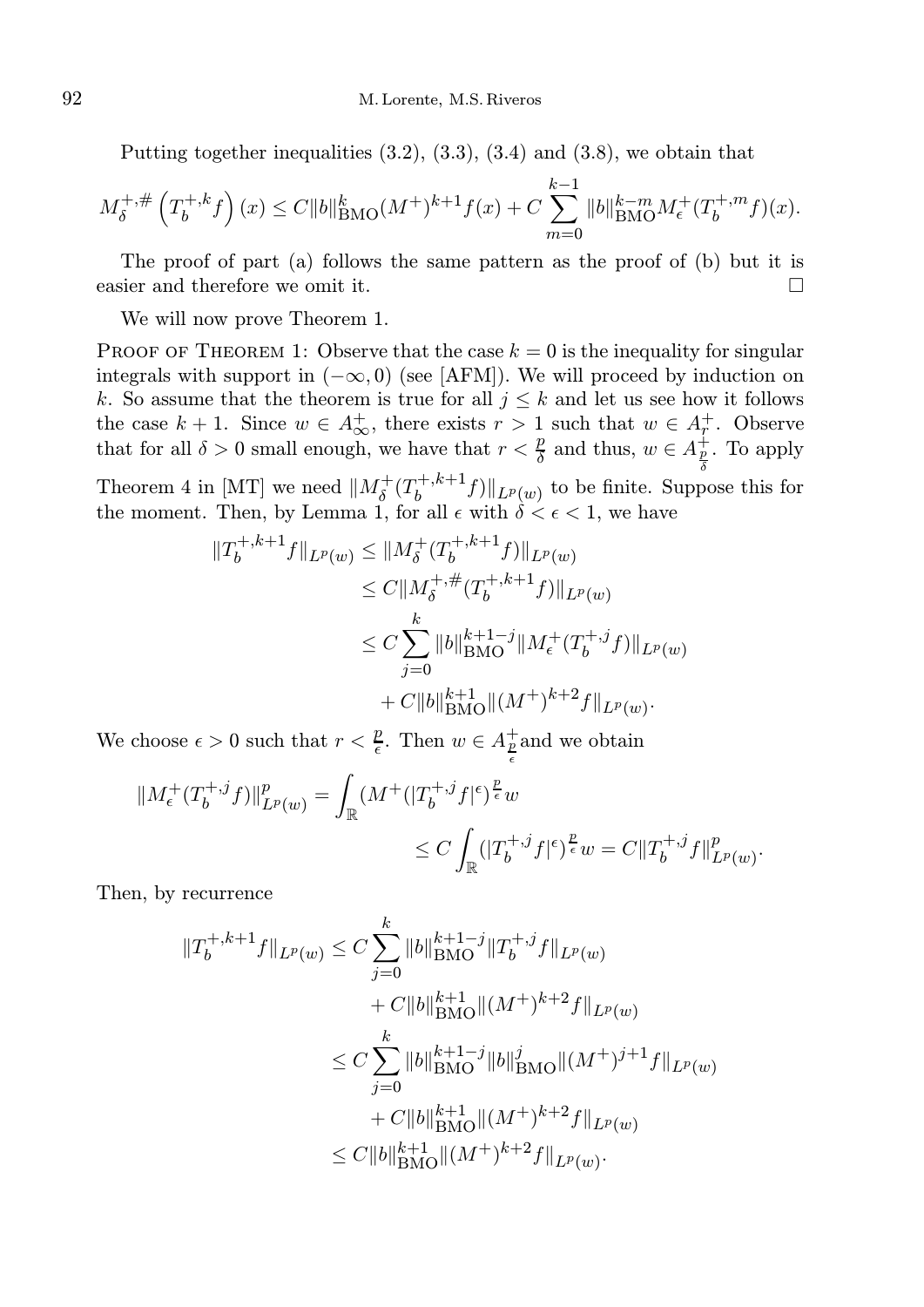Putting together inequalities  $(3.2)$ ,  $(3.3)$ ,  $(3.4)$  and  $(3.8)$ , we obtain that

$$
M_{\delta}^{+, \#}\left(T_b^{+, k} f\right)(x) \le C \|b\|_{\text{BMO}}^k (M^+)^{k+1} f(x) + C \sum_{m=0}^{k-1} \|b\|_{\text{BMO}}^{k-m} M_{\epsilon}^+(T_b^{+, m} f)(x).
$$

The proof of part (a) follows the same pattern as the proof of (b) but it is easier and therefore we omit it.

We will now prove Theorem 1.

PROOF OF THEOREM 1: Observe that the case  $k = 0$  is the inequality for singular integrals with support in  $(-\infty, 0)$  (see [AFM]). We will proceed by induction on k. So assume that the theorem is true for all  $j \leq k$  and let us see how it follows the case  $k + 1$ . Since  $w \in A^+_{\infty}$ , there exists  $r > 1$  such that  $w \in A^+_{r}$ . Observe that for all  $\delta > 0$  small enough, we have that  $r < \frac{p}{\delta}$  and thus,  $w \in A_{\frac{p}{\delta}}^{\frac{1}{r}}$ . To apply

Theorem 4 in [MT] we need  $||M_{\delta}^+(T_b^{+,k+1})||$  $\|b^{+,k+1}f\|\|_{L^p(w)}$  to be finite. Suppose this for the moment. Then, by Lemma 1, for all  $\epsilon$  with  $\delta < \epsilon < 1$ , we have

$$
||T_b^{+,k+1}f||_{L^p(w)} \le ||M_\delta^+(T_b^{+,k+1}f)||_{L^p(w)}
$$
  
\n
$$
\le C||M_\delta^{+, \#}(T_b^{+,k+1}f)||_{L^p(w)}
$$
  
\n
$$
\le C\sum_{j=0}^k ||b||_{\text{BMO}}^{k+1-j}||M_\epsilon^+(T_b^{+,j}f)||_{L^p(w)}
$$
  
\n
$$
+ C||b||_{\text{BMO}}^{k+1}||(M^+)^{k+2}f||_{L^p(w)}.
$$

We choose  $\epsilon > 0$  such that  $r < \frac{p}{\epsilon}$ . Then  $w \in A_{\frac{p}{\epsilon}}^{\pm}$  and we obtain

$$
\begin{aligned}\|M^+_{\epsilon}(T_b^{+,j}f)\|^p_{L^p(w)}&=\int_{\mathbb{R}}(M^+(|T_b^{+,j}f|^{\epsilon})^{\frac{p}{\epsilon}}w\\&\leq C\int_{\mathbb{R}}(|T_b^{+,j}f|^{\epsilon})^{\frac{p}{\epsilon}}w=C\|T_b^{+,j}f\|^p_{L^p(w)}.\end{aligned}
$$

Then, by recurrence

$$
||T_b^{+,k+1}f||_{L^p(w)} \leq C \sum_{j=0}^k ||b||_{\text{BMO}}^{k+1-j} ||T_b^{+,j}f||_{L^p(w)}
$$
  
+  $C||b||_{\text{BMO}}^{k+1} ||(M^+)^{k+2}f||_{L^p(w)}$   
 $\leq C \sum_{j=0}^k ||b||_{\text{BMO}}^{k+1-j} ||b||_{\text{BMO}}^{j} ||(M^+)^{j+1}f||_{L^p(w)}$   
+  $C||b||_{\text{BMO}}^{k+1} ||(M^+)^{k+2}f||_{L^p(w)}$   
 $\leq C||b||_{\text{BMO}}^{k+1} ||(M^+)^{k+2}f||_{L^p(w)}.$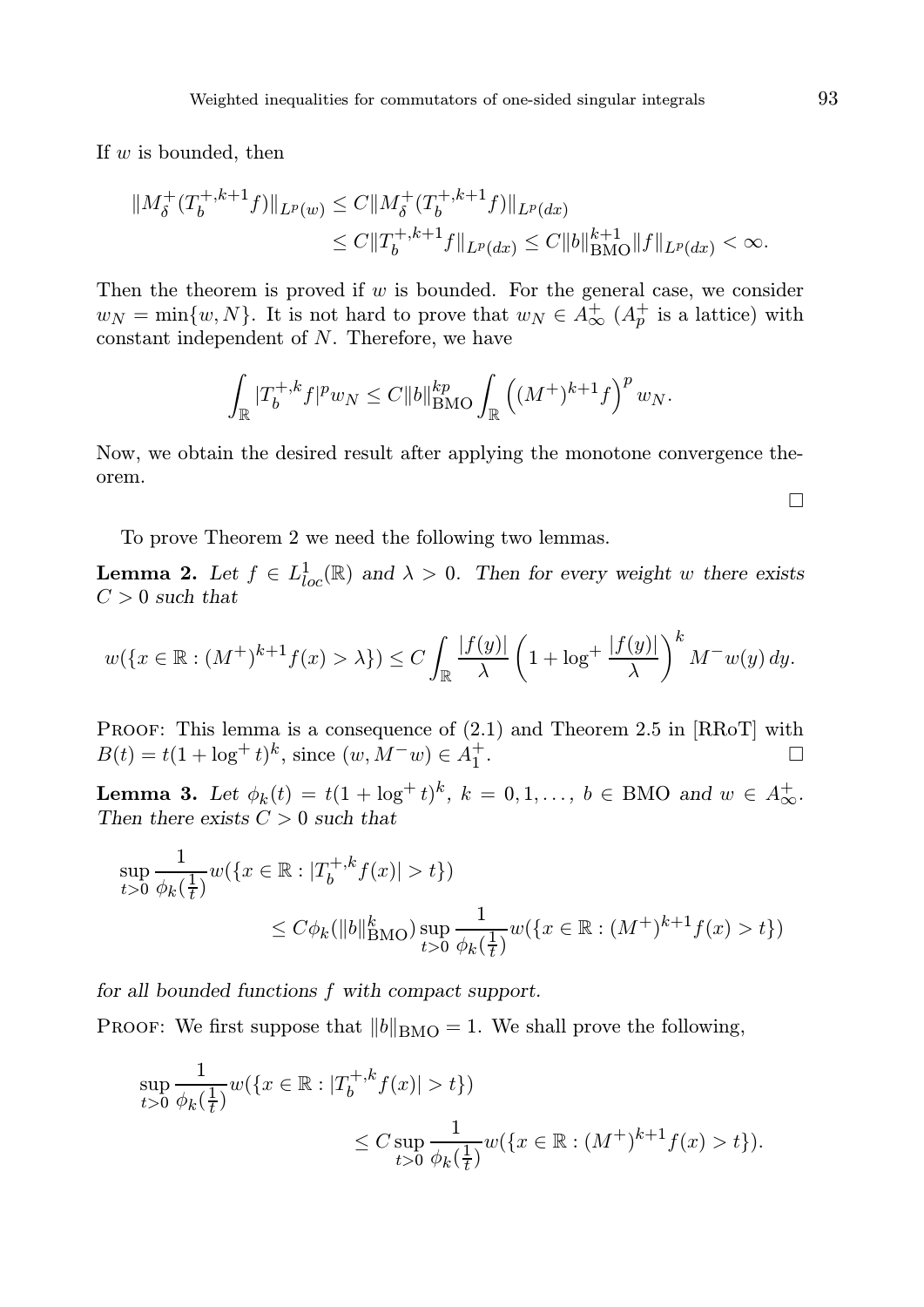If  $w$  is bounded, then

$$
||M_{\delta}^{+}(T_b^{+,k+1}f)||_{L^p(w)} \leq C||M_{\delta}^{+}(T_b^{+,k+1}f)||_{L^p(dx)}
$$
  
\n
$$
\leq C||T_b^{+,k+1}f||_{L^p(dx)} \leq C||b||_{\text{BMO}}^{k+1}||f||_{L^p(dx)} < \infty.
$$

Then the theorem is proved if  $w$  is bounded. For the general case, we consider  $w_N = \min\{w, N\}$ . It is not hard to prove that  $w_N \in A^+_{\infty}$   $(A^+_p)$  is a lattice) with constant independent of N. Therefore, we have

$$
\int_{\mathbb{R}} |T_b^{+,k} f|^p w_N \leq C \|b\|_{\text{BMO}}^{kp} \int_{\mathbb{R}} \left( (M^+)^{k+1} f \right)^p w_N.
$$

Now, we obtain the desired result after applying the monotone convergence theorem.

To prove Theorem 2 we need the following two lemmas.

**Lemma 2.** Let  $f \in L^1_{loc}(\mathbb{R})$  and  $\lambda > 0$ . Then for every weight w there exists  $C > 0$  such that

$$
w(\lbrace x \in \mathbb{R} : (M^+)^{k+1} f(x) > \lambda \rbrace) \leq C \int_{\mathbb{R}} \frac{|f(y)|}{\lambda} \left( 1 + \log^+ \frac{|f(y)|}{\lambda} \right)^k M^{-} w(y) dy.
$$

PROOF: This lemma is a consequence of  $(2.1)$  and Theorem 2.5 in [RRoT] with  $B(t) = t(1 + \log^+ t)^k$ , since  $(w, M^- w) \in A_1^+$ . В последните последните под на приема с последните се приема с последните се приема с последните си<mark>ста с</mark>е пр<br>В последните се приема с последните се приема с приема с приема с приема с приема с приема с приема с приема

**Lemma 3.** Let  $\phi_k(t) = t(1 + \log^+ t)^k$ ,  $k = 0, 1, ..., b \in BMO$  and  $w \in A^+_{\infty}$ . Then there exists  $C > 0$  such that

$$
\sup_{t>0} \frac{1}{\phi_k(\frac{1}{t})} w(\lbrace x \in \mathbb{R} : |T_b^{+,k} f(x)| > t \rbrace)
$$
  
 
$$
\leq C\phi_k(||b||^k_{BMO}) \sup_{t>0} \frac{1}{\phi_k(\frac{1}{t})} w(\lbrace x \in \mathbb{R} : (M^+)^{k+1} f(x) > t \rbrace)
$$

for all bounded functions f with compact support.

PROOF: We first suppose that  $||b||_{\text{BMO}} = 1$ . We shall prove the following,

$$
\sup_{t>0} \frac{1}{\phi_k(\frac{1}{t})} w(\{x \in \mathbb{R} : |T_b^{+,k} f(x)| > t\})
$$
  

$$
\leq C \sup_{t>0} \frac{1}{\phi_k(\frac{1}{t})} w(\{x \in \mathbb{R} : (M^+)^{k+1} f(x) > t\}).
$$

 $\Box$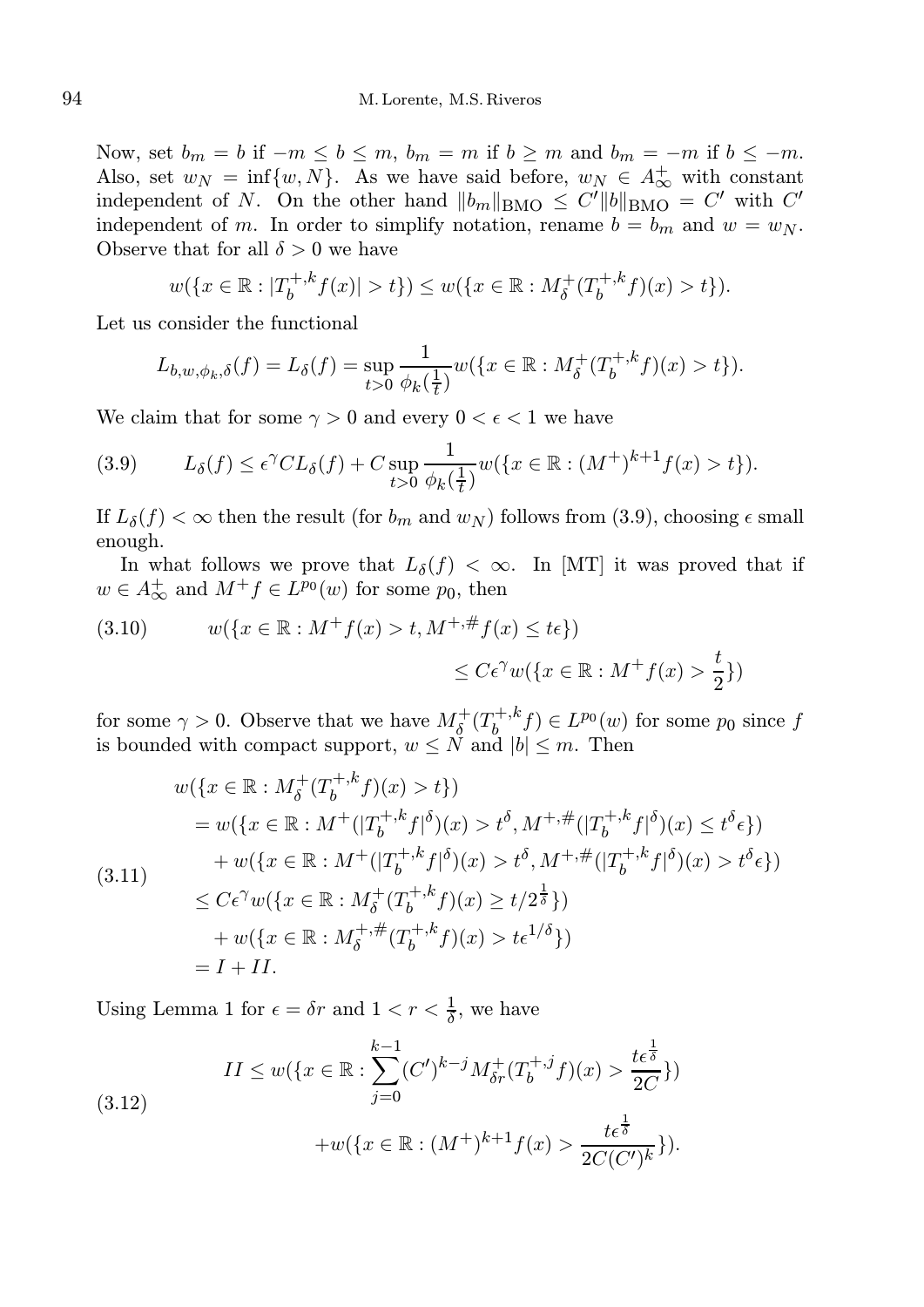Now, set  $b_m = b$  if  $-m \le b \le m$ ,  $b_m = m$  if  $b \ge m$  and  $b_m = -m$  if  $b \le -m$ . Also, set  $w_N = \inf\{w, N\}$ . As we have said before,  $w_N \in A_{\infty}^+$  with constant independent of N. On the other hand  $||b_m||_{\text{BMO}} \leq C'||b||_{\text{BMO}} = C'$  with  $C'$ independent of m. In order to simplify notation, rename  $b = b_m$  and  $w = w_N$ . Observe that for all  $\delta > 0$  we have

$$
w(\lbrace x \in \mathbb{R} : |T_b^{+,k} f(x)| > t \rbrace) \le w(\lbrace x \in \mathbb{R} : M_\delta^+(T_b^{+,k} f)(x) > t \rbrace).
$$

Let us consider the functional

$$
L_{b,w,\phi_k,\delta}(f) = L_{\delta}(f) = \sup_{t>0} \frac{1}{\phi_k(\frac{1}{t})} w(\{x \in \mathbb{R} : M_{\delta}^+(T_b^{+,k}f)(x) > t\}).
$$

We claim that for some  $\gamma > 0$  and every  $0 < \epsilon < 1$  we have

(3.9) 
$$
L_{\delta}(f) \leq \epsilon^{\gamma} CL_{\delta}(f) + C \sup_{t>0} \frac{1}{\phi_{k}(\frac{1}{t})} w(\{x \in \mathbb{R} : (M^{+})^{k+1} f(x) > t\}).
$$

If  $L_{\delta}(f) < \infty$  then the result (for  $b_m$  and  $w_N$ ) follows from (3.9), choosing  $\epsilon$  small enough.

In what follows we prove that  $L_{\delta}(f) < \infty$ . In [MT] it was proved that if  $w \in A_{\infty}^{+}$  and  $M^{+} f \in L^{p_{0}}(w)$  for some  $p_{0}$ , then

(3.10) 
$$
w({x \in \mathbb{R} : M^+ f(x) > t, M^{+, \#} f(x) \le t\epsilon})
$$

$$
\le C\epsilon^{\gamma}w({x \in \mathbb{R} : M^+ f(x) > \frac{t}{2}})
$$

for some  $\gamma > 0$ . Observe that we have  $M_{\delta}^{+}(T_b^{+,k})$  $(b, b^{+, k} f) \in L^{p_0}(w)$  for some  $p_0$  since  $f$ is bounded with compact support,  $w \leq N$  and  $|b| \leq m$ . Then

$$
w(\lbrace x \in \mathbb{R} : M_{\delta}^{+}(T_{b}^{+,k}f)(x) > t \rbrace)
$$
  
\n
$$
= w(\lbrace x \in \mathbb{R} : M^{+}(|T_{b}^{+,k}f|^{\delta})(x) > t^{\delta}, M^{+,\#}(|T_{b}^{+,k}f|^{\delta})(x) \le t^{\delta} \epsilon \rbrace)
$$
  
\n
$$
+ w(\lbrace x \in \mathbb{R} : M^{+}(|T_{b}^{+,k}f|^{\delta})(x) > t^{\delta}, M^{+,\#}(|T_{b}^{+,k}f|^{\delta})(x) > t^{\delta} \epsilon \rbrace)
$$
  
\n
$$
\le C\epsilon^{\gamma}w(\lbrace x \in \mathbb{R} : M_{\delta}^{+}(T_{b}^{+,k}f)(x) \ge t/2^{\frac{1}{\delta}} \rbrace)
$$
  
\n
$$
+ w(\lbrace x \in \mathbb{R} : M_{\delta}^{+,\#}(T_{b}^{+,k}f)(x) > t\epsilon^{1/\delta}\rbrace)
$$
  
\n
$$
= I + II.
$$

Using Lemma 1 for  $\epsilon = \delta r$  and  $1 < r < \frac{1}{\delta}$ , we have

(3.12) 
$$
II \leq w(\lbrace x \in \mathbb{R} : \sum_{j=0}^{k-1} (C')^{k-j} M_{\delta r}^+(T_b^{+,j} f)(x) > \frac{t \epsilon^{\frac{1}{\delta}}}{2C} \rbrace) + w(\lbrace x \in \mathbb{R} : (M^+)^{k+1} f(x) > \frac{t \epsilon^{\frac{1}{\delta}}}{2C(C')^k} \rbrace).
$$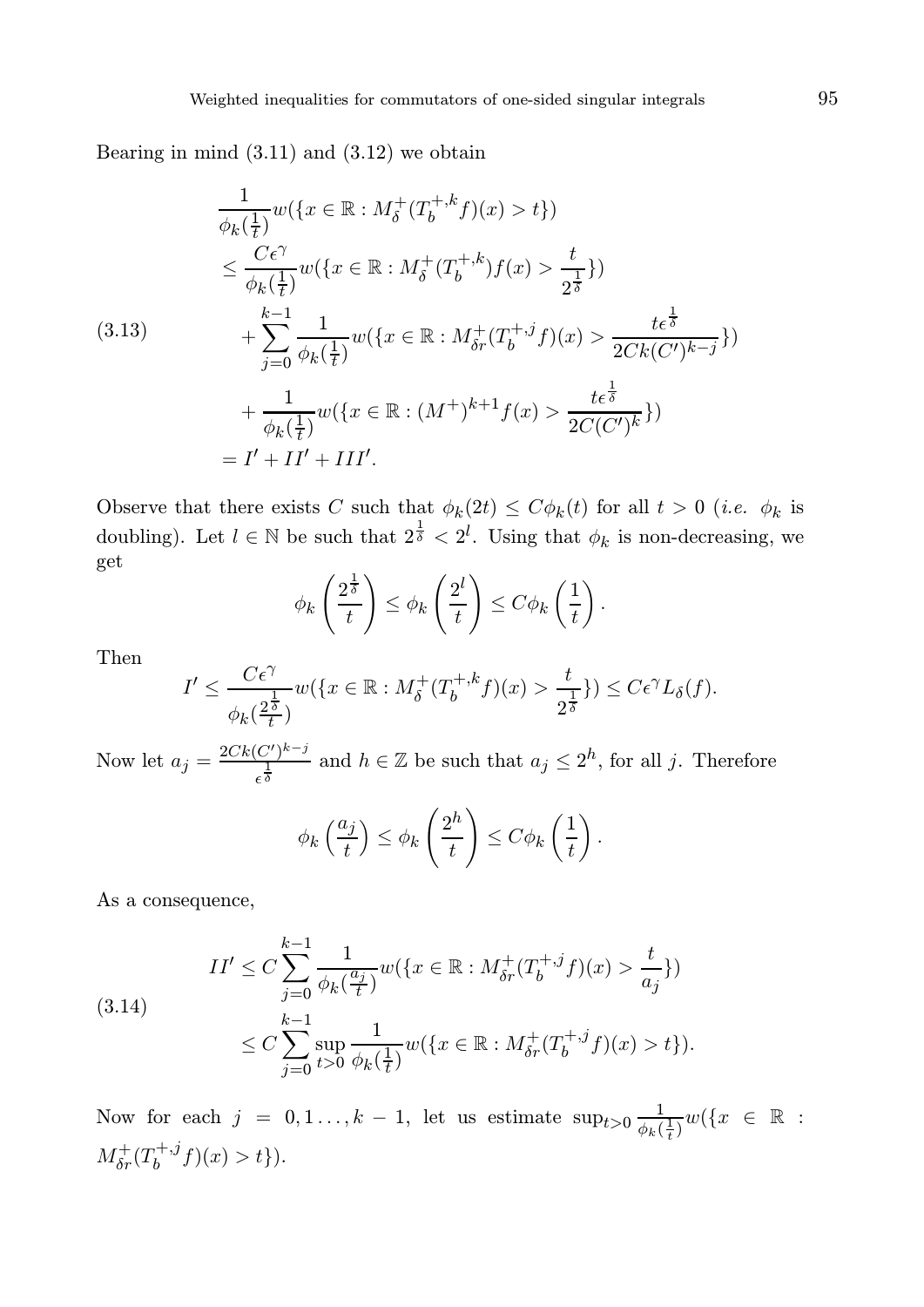Bearing in mind  $(3.11)$  and  $(3.12)$  we obtain

$$
\frac{1}{\phi_k(\frac{1}{t})} w(\lbrace x \in \mathbb{R} : M_\delta^+(T_b^{+,k}f)(x) > t \rbrace)
$$
\n
$$
\leq \frac{C\epsilon^\gamma}{\phi_k(\frac{1}{t})} w(\lbrace x \in \mathbb{R} : M_\delta^+(T_b^{+,k})f(x) > \frac{t}{2^{\frac{1}{\delta}}}\rbrace)
$$
\n(3.13)\n
$$
+ \sum_{j=0}^{k-1} \frac{1}{\phi_k(\frac{1}{t})} w(\lbrace x \in \mathbb{R} : M_{\delta r}^+(T_b^{+,j}f)(x) > \frac{t\epsilon^{\frac{1}{\delta}}}{2Ck(C')^{k-j}}\rbrace)
$$
\n
$$
+ \frac{1}{\phi_k(\frac{1}{t})} w(\lbrace x \in \mathbb{R} : (M^+)^{k+1}f(x) > \frac{t\epsilon^{\frac{1}{\delta}}}{2C(C')^k}\rbrace)
$$
\n
$$
= I' + II' + III'.
$$

Observe that there exists C such that  $\phi_k(2t) \leq C \phi_k(t)$  for all  $t > 0$  (*i.e.*  $\phi_k$  is doubling). Let  $l \in \mathbb{N}$  be such that  $2^{\frac{1}{\delta}} < 2^l$ . Using that  $\phi_k$  is non-decreasing, we get

$$
\phi_k\left(\frac{2^{\frac{1}{\delta}}}{t}\right) \leq \phi_k\left(\frac{2^l}{t}\right) \leq C\phi_k\left(\frac{1}{t}\right).
$$

Then

$$
I' \leq \frac{C\epsilon^{\gamma}}{\phi_k(\frac{2^{\frac{1}{\delta}}}{t})} w(\lbrace x \in \mathbb{R} : M_{\delta}^{+}(T_b^{+,k}f)(x) > \frac{t}{2^{\frac{1}{\delta}}} \rbrace) \leq C\epsilon^{\gamma} L_{\delta}(f).
$$

Now let  $a_j = \frac{2Ck(C')^{k-j}}{1}$  $\frac{(C')^{k-j}}{\epsilon^{\frac{1}{\delta}}}$  and  $h \in \mathbb{Z}$  be such that  $a_j \leq 2^h$ , for all j. Therefore

$$
\phi_k\left(\frac{a_j}{t}\right) \le \phi_k\left(\frac{2^h}{t}\right) \le C\phi_k\left(\frac{1}{t}\right).
$$

As a consequence,

$$
(3.14) \quad II' \leq C \sum_{j=0}^{k-1} \frac{1}{\phi_k(\frac{a_j}{t})} w(\lbrace x \in \mathbb{R} : M_{\delta r}^+(T_b^{+,j}f)(x) > \frac{t}{a_j} \rbrace)
$$
\n
$$
\leq C \sum_{j=0}^{k-1} \sup_{t>0} \frac{1}{\phi_k(\frac{1}{t})} w(\lbrace x \in \mathbb{R} : M_{\delta r}^+(T_b^{+,j}f)(x) > t \rbrace).
$$

Now for each  $j = 0, 1, \ldots, k - 1$ , let us estimate  $\sup_{t>0} \frac{1}{\phi_{k,t}}$  $\frac{1}{\phi_k(\frac{1}{t})}w(\lbrace x \in \mathbb{R} :$  $M_{\delta r}^+(T_b^{+,j}$  $b_0^{(+,1)}(x) > t$ .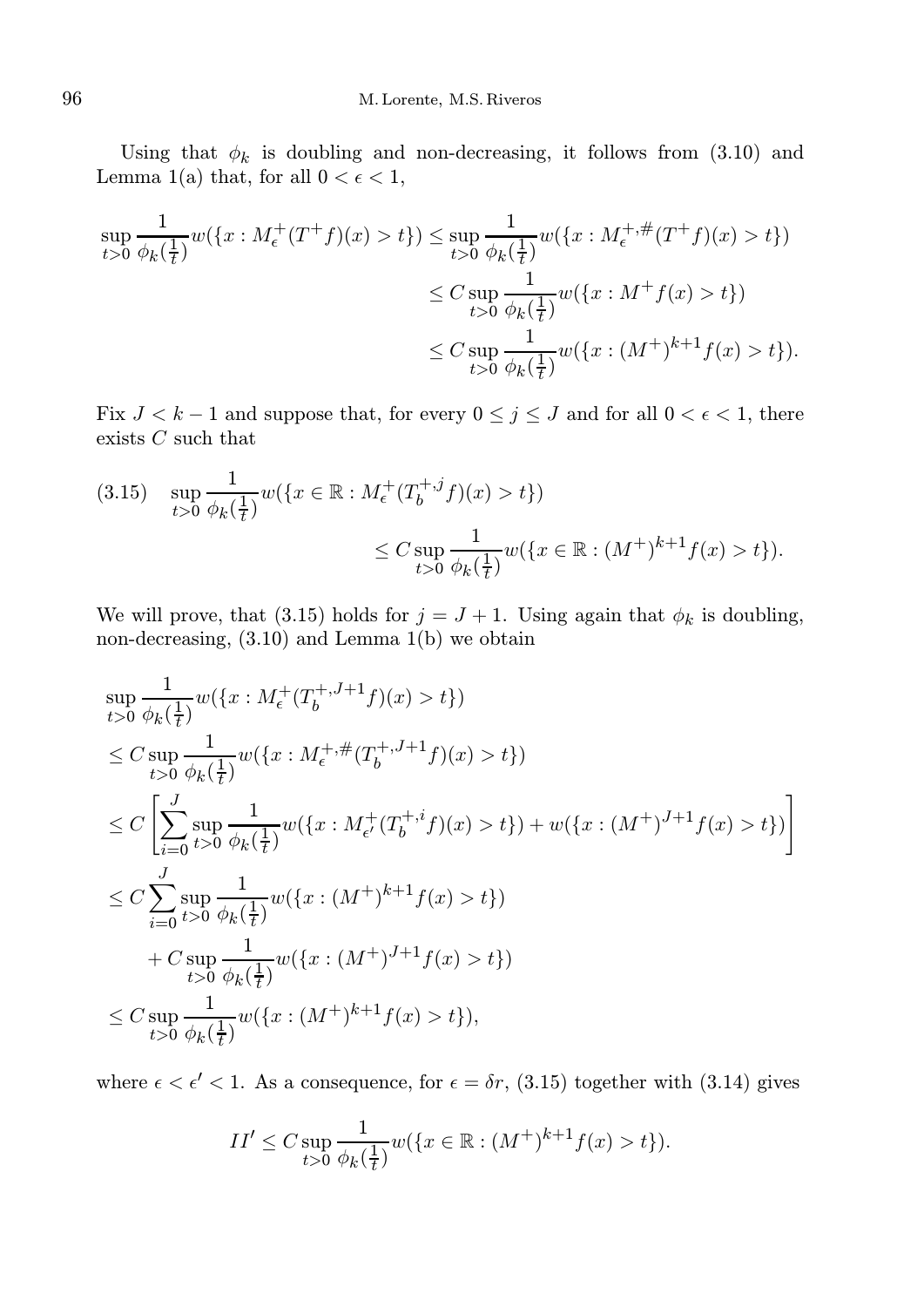Using that  $\phi_k$  is doubling and non-decreasing, it follows from (3.10) and Lemma 1(a) that, for all  $0 < \epsilon < 1$ ,

$$
\sup_{t>0} \frac{1}{\phi_k(\frac{1}{t})} w(\lbrace x : M_{\epsilon}^+(T^+f)(x) > t \rbrace) \leq \sup_{t>0} \frac{1}{\phi_k(\frac{1}{t})} w(\lbrace x : M_{\epsilon}^{+, \#}(T^+f)(x) > t \rbrace)
$$
  

$$
\leq C \sup_{t>0} \frac{1}{\phi_k(\frac{1}{t})} w(\lbrace x : M^+f(x) > t \rbrace)
$$
  

$$
\leq C \sup_{t>0} \frac{1}{\phi_k(\frac{1}{t})} w(\lbrace x : (M^+)^{k+1}f(x) > t \rbrace).
$$

Fix  $J < k - 1$  and suppose that, for every  $0 \le j \le J$  and for all  $0 < \epsilon < 1$ , there exists  $C$  such that

$$
(3.15) \quad \sup_{t>0} \frac{1}{\phi_k(\frac{1}{t})} w(\lbrace x \in \mathbb{R} : M_{\epsilon}^+(T_b^{+,j}f)(x) > t \rbrace)
$$
  

$$
\leq C \sup_{t>0} \frac{1}{\phi_k(\frac{1}{t})} w(\lbrace x \in \mathbb{R} : (M^+)^{k+1} f(x) > t \rbrace).
$$

We will prove, that (3.15) holds for  $j = J + 1$ . Using again that  $\phi_k$  is doubling, non-decreasing, (3.10) and Lemma 1(b) we obtain

$$
\sup_{t>0} \frac{1}{\phi_k(\frac{1}{t})} w(\lbrace x : M_{\epsilon}^+(T_b^{+,J+1}f)(x) > t \rbrace)
$$
\n
$$
\leq C \sup_{t>0} \frac{1}{\phi_k(\frac{1}{t})} w(\lbrace x : M_{\epsilon}^{+, \#}(T_b^{+,J+1}f)(x) > t \rbrace)
$$
\n
$$
\leq C \left[ \sum_{i=0}^J \sup_{t>0} \frac{1}{\phi_k(\frac{1}{t})} w(\lbrace x : M_{\epsilon'}^+(T_b^{+,i}f)(x) > t \rbrace) + w(\lbrace x : (M^+)^{J+1}f(x) > t \rbrace) \right]
$$
\n
$$
\leq C \sum_{i=0}^J \sup_{t>0} \frac{1}{\phi_k(\frac{1}{t})} w(\lbrace x : (M^+)^{k+1}f(x) > t \rbrace)
$$
\n
$$
+ C \sup_{t>0} \frac{1}{\phi_k(\frac{1}{t})} w(\lbrace x : (M^+)^{J+1}f(x) > t \rbrace)
$$
\n
$$
\leq C \sup_{t>0} \frac{1}{\phi_k(\frac{1}{t})} w(\lbrace x : (M^+)^{k+1}f(x) > t \rbrace),
$$

where  $\epsilon < \epsilon' < 1$ . As a consequence, for  $\epsilon = \delta r$ , (3.15) together with (3.14) gives

$$
II' \le C \sup_{t>0} \frac{1}{\phi_k(\frac{1}{t})} w(\{x \in \mathbb{R} : (M^+)^{k+1} f(x) > t\}).
$$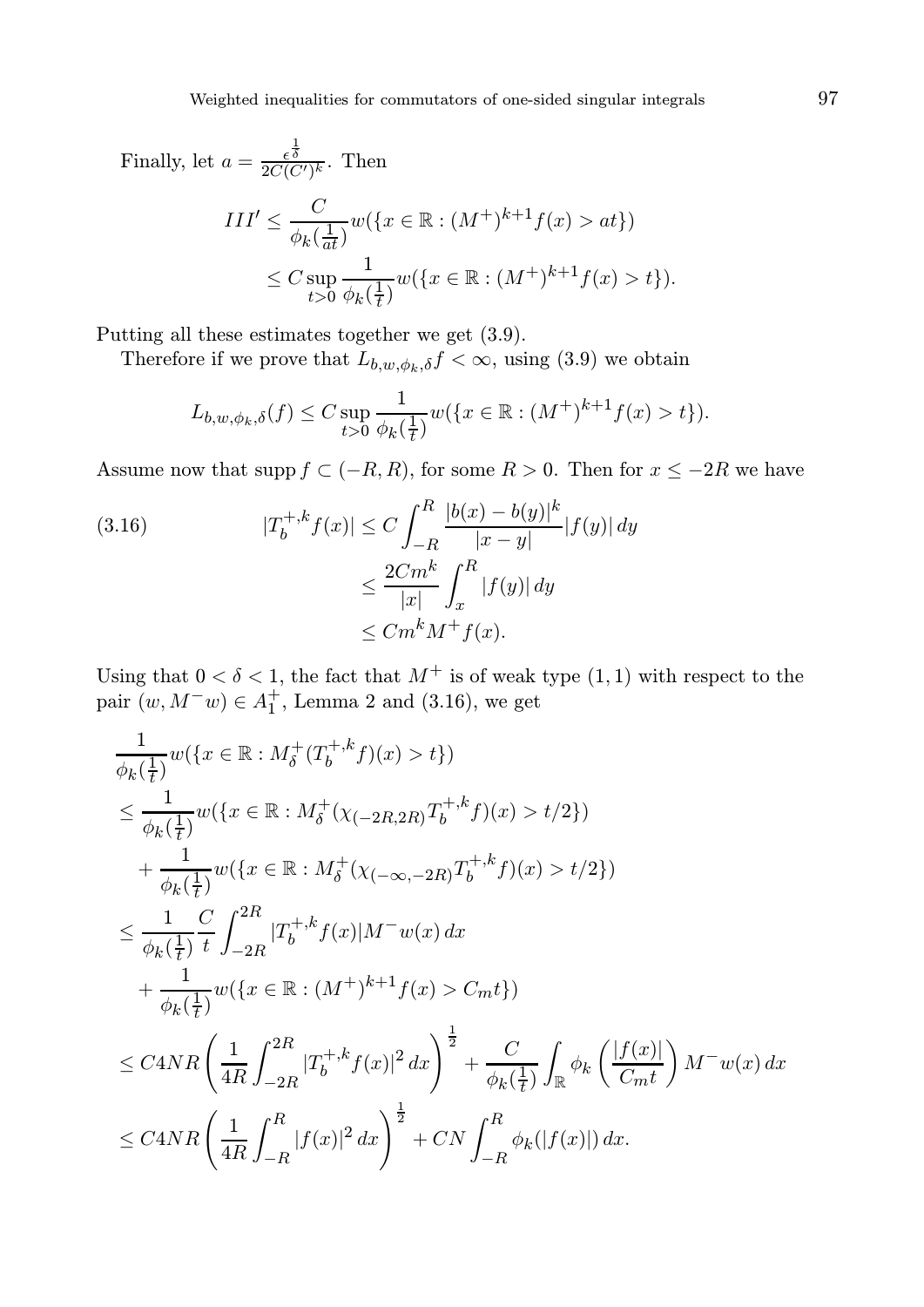Finally, let 
$$
a = \frac{\epsilon^{\frac{1}{\delta}}}{2C(C')^k}
$$
. Then  
\n
$$
III' \leq \frac{C}{\phi_k(\frac{1}{at})} w(\lbrace x \in \mathbb{R} : (M^+)^{k+1} f(x) > at \rbrace)
$$
\n
$$
\leq C \sup_{t>0} \frac{1}{\phi_k(\frac{1}{t})} w(\lbrace x \in \mathbb{R} : (M^+)^{k+1} f(x) > t \rbrace).
$$

Putting all these estimates together we get (3.9).

Therefore if we prove that  $L_{b,w,\phi_k,\delta} f < \infty$ , using (3.9) we obtain

$$
L_{b,w,\phi_k,\delta}(f) \le C \sup_{t>0} \frac{1}{\phi_k(\frac{1}{t})} w(\{x \in \mathbb{R} : (M^+)^{k+1} f(x) > t\}).
$$

Assume now that supp  $f \subset (-R, R)$ , for some  $R > 0$ . Then for  $x \le -2R$  we have

(3.16) 
$$
|T_b^{+,k} f(x)| \le C \int_{-R}^R \frac{|b(x) - b(y)|^k}{|x - y|} |f(y)| dy
$$

$$
\le \frac{2Cm^k}{|x|} \int_x^R |f(y)| dy
$$

$$
\le Cm^k M^+ f(x).
$$

Using that  $0 < \delta < 1$ , the fact that  $M^+$  is of weak type  $(1, 1)$  with respect to the pair  $(w, M<sup>−</sup>w) ∈ A<sub>1</sub><sup>+</sup>$ , Lemma 2 and (3.16), we get

$$
\frac{1}{\phi_k(\frac{1}{t})} w(\lbrace x \in \mathbb{R} : M_\delta^+(T_b^{+,k}f)(x) > t \rbrace)
$$
\n
$$
\leq \frac{1}{\phi_k(\frac{1}{t})} w(\lbrace x \in \mathbb{R} : M_\delta^+( \chi_{(-2R, 2R)} T_b^{+,k}f)(x) > t/2 \rbrace)
$$
\n
$$
+ \frac{1}{\phi_k(\frac{1}{t})} w(\lbrace x \in \mathbb{R} : M_\delta^+( \chi_{(-\infty, -2R)} T_b^{+,k}f)(x) > t/2 \rbrace)
$$
\n
$$
\leq \frac{1}{\phi_k(\frac{1}{t})} \frac{C}{t} \int_{-2R}^{2R} |T_b^{+,k}f(x)| M^- w(x) dx
$$
\n
$$
+ \frac{1}{\phi_k(\frac{1}{t})} w(\lbrace x \in \mathbb{R} : (M^+)^{k+1}f(x) > C_m t \rbrace)
$$
\n
$$
\leq C4NR \left( \frac{1}{4R} \int_{-2R}^{2R} |T_b^{+,k}f(x)|^2 dx \right)^{\frac{1}{2}} + \frac{C}{\phi_k(\frac{1}{t})} \int_{\mathbb{R}} \phi_k \left( \frac{|f(x)|}{C_m t} \right) M^- w(x) dx
$$
\n
$$
\leq C4NR \left( \frac{1}{4R} \int_{-R}^{R} |f(x)|^2 dx \right)^{\frac{1}{2}} + CN \int_{-R}^{R} \phi_k(|f(x)|) dx.
$$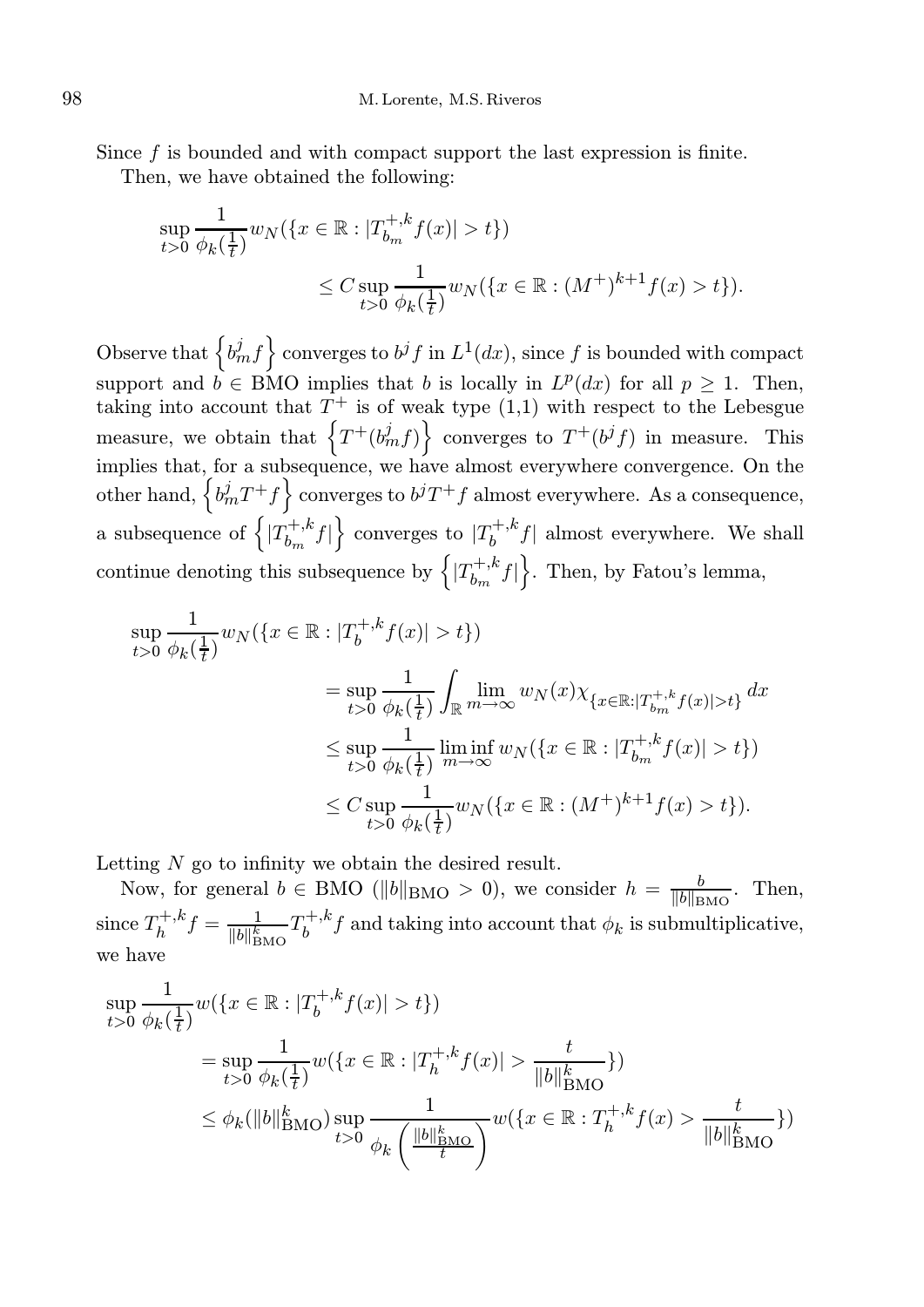Since f is bounded and with compact support the last expression is finite.

Then, we have obtained the following:

$$
\sup_{t>0} \frac{1}{\phi_k(\frac{1}{t})} w_N(\{x \in \mathbb{R} : |T_{b_m}^{+,k} f(x)| > t\})
$$
  

$$
\leq C \sup_{t>0} \frac{1}{\phi_k(\frac{1}{t})} w_N(\{x \in \mathbb{R} : (M^+)^{k+1} f(x) > t\}).
$$

Observe that  $\left\{b_m^j f\right\}$  converges to  $b^j f$  in  $L^1(dx)$ , since f is bounded with compact support and  $b \in BMO$  implies that b is locally in  $L^p(dx)$  for all  $p \geq 1$ . Then, taking into account that  $T^+$  is of weak type  $(1,1)$  with respect to the Lebesgue measure, we obtain that  $\left\{T^+(b_m^jf)\right\}$  converges to  $T^+(b^jf)$  in measure. This implies that, for a subsequence, we have almost everywhere convergence. On the other hand,  $\left\{ b_m^j T^+ f \right\}$  converges to  $b^j T^+ f$  almost everywhere. As a consequence, a subsequence of  $\left\{ \left| T_{h}^{+,k}\right. \right\}$  $\left\{ b_{m}^{+,k}f\right\}$  converges to  $|T_{b}^{+,k}|$  $\int_b^{+\pi} f$  almost everywhere. We shall continue denoting this subsequence by  $\left\{ |T_b^{+,k}\right\}$  $\left\{b_m^{+,k}f\right\}$ . Then, by Fatou's lemma,

$$
\sup_{t>0} \frac{1}{\phi_k(\frac{1}{t})} w_N(\{x \in \mathbb{R} : |T_b^{+,k} f(x)| > t\})
$$
  
\n
$$
= \sup_{t>0} \frac{1}{\phi_k(\frac{1}{t})} \int_{\mathbb{R}} \lim_{m \to \infty} w_N(x) \chi_{\{x \in \mathbb{R} : |T_b^{+,k} f(x)| > t\}} dx
$$
  
\n
$$
\leq \sup_{t>0} \frac{1}{\phi_k(\frac{1}{t})} \liminf_{m \to \infty} w_N(\{x \in \mathbb{R} : |T_b^{+,k} f(x)| > t\})
$$
  
\n
$$
\leq C \sup_{t>0} \frac{1}{\phi_k(\frac{1}{t})} w_N(\{x \in \mathbb{R} : (M^+)^{k+1} f(x) > t\}).
$$

Letting N go to infinity we obtain the desired result.

Now, for general  $b \in BMO$  ( $||b||_{BMO} > 0$ ), we consider  $h = \frac{b}{||b||_{\mathcal{D}}}$  $\frac{b}{\|b\|_{\text{BMO}}}$ . Then, since  $T_h^{+,k}$  $T_h^{+,k} f = \frac{1}{\|b\|_{\text{BMO}}^k} T_b^{+,k}$  $\int_b^{+\kappa} f$  and taking into account that  $\phi_k$  is submultiplicative, we have

$$
\sup_{t>0} \frac{1}{\phi_k(\frac{1}{t})} w(\{x \in \mathbb{R} : |T_b^{+,k} f(x)| > t\})
$$
\n
$$
= \sup_{t>0} \frac{1}{\phi_k(\frac{1}{t})} w(\{x \in \mathbb{R} : |T_h^{+,k} f(x)| > \frac{t}{\|b\|_{\text{BMO}}^k}\})
$$
\n
$$
\leq \phi_k(\|b\|_{\text{BMO}}^k) \sup_{t>0} \frac{1}{\phi_k\left(\frac{\|b\|_{\text{BMO}}^k}{t}\right)} w(\{x \in \mathbb{R} : T_h^{+,k} f(x) > \frac{t}{\|b\|_{\text{BMO}}^k}\})
$$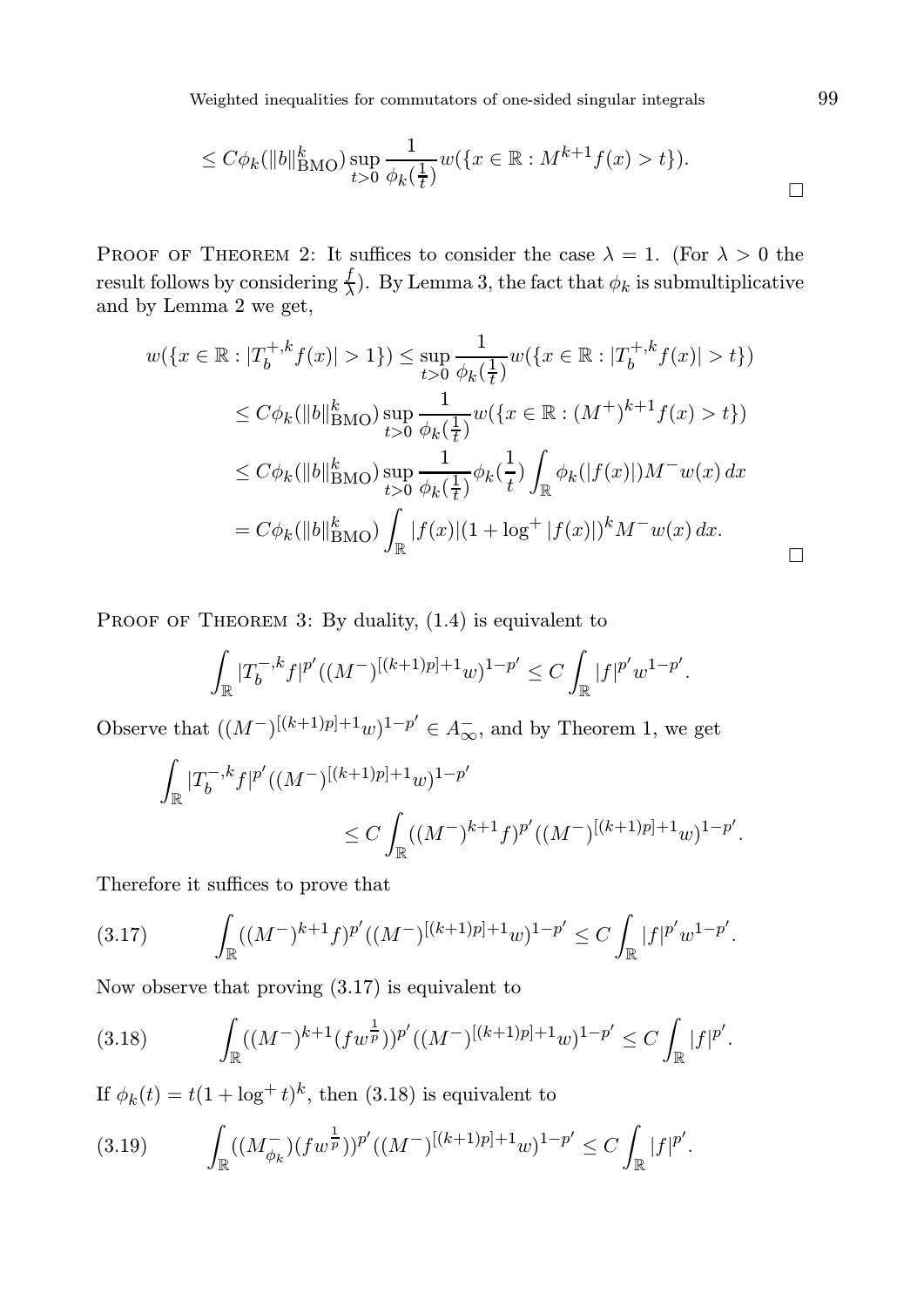Weighted inequalities for commutators of one-sided singular integrals 99

$$
\leq C\phi_k(\|b\|_{\text{BMO}}^k) \sup_{t>0} \frac{1}{\phi_k(\frac{1}{t})} w(\{x \in \mathbb{R} : M^{k+1}f(x) > t\}).
$$

PROOF OF THEOREM 2: It suffices to consider the case  $\lambda = 1$ . (For  $\lambda > 0$  the result follows by considering  $\frac{f}{\lambda}$ . By Lemma 3, the fact that  $\phi_k$  is submultiplicative and by Lemma 2 we get,

$$
w(\lbrace x \in \mathbb{R} : |T_b^{+,k} f(x)| > 1 \rbrace) \le \sup_{t>0} \frac{1}{\phi_k(\frac{1}{t})} w(\lbrace x \in \mathbb{R} : |T_b^{+,k} f(x)| > t \rbrace)
$$
  

$$
\le C\phi_k(||b||_{\text{BMO}}^k) \sup_{t>0} \frac{1}{\phi_k(\frac{1}{t})} w(\lbrace x \in \mathbb{R} : (M^+)^{k+1} f(x) > t \rbrace)
$$
  

$$
\le C\phi_k(||b||_{\text{BMO}}^k) \sup_{t>0} \frac{1}{\phi_k(\frac{1}{t})} \phi_k(\frac{1}{t}) \int_{\mathbb{R}} \phi_k(|f(x)|) M^{-} w(x) dx
$$
  

$$
= C\phi_k(||b||_{\text{BMO}}^k) \int_{\mathbb{R}} |f(x)| (1 + \log^+ |f(x)|)^k M^{-} w(x) dx.
$$

PROOF OF THEOREM 3: By duality,  $(1.4)$  is equivalent to

$$
\int_{\mathbb{R}} |T_b^{-,k} f|^{p'} ((M^-)^{[(k+1)p]+1} w)^{1-p'} \leq C \int_{\mathbb{R}} |f|^{p'} w^{1-p'}.
$$

Observe that  $((M^-)^{[(k+1)p]+1}w)^{1-p'} \in A_\infty^-$ , and by Theorem 1, we get

$$
\begin{aligned} \int_{\mathbb{R}} |T_b^{-,k}f|^{p'}((M^-)^{[(k+1)p]+1}w)^{1-p'} \\ &\leq C\int_{\mathbb{R}} ((M^-)^{k+1}f)^{p'}((M^-)^{[(k+1)p]+1}w)^{1-p'} . \end{aligned}
$$

Therefore it suffices to prove that

$$
(3.17) \qquad \int_{\mathbb{R}} ((M^{-})^{k+1} f)^{p'} ((M^{-})^{[(k+1)p]+1} w)^{1-p'} \leq C \int_{\mathbb{R}} |f|^{p'} w^{1-p'}.
$$

Now observe that proving (3.17) is equivalent to

$$
(3.18) \qquad \int_{\mathbb{R}} ((M^{-})^{k+1} (fw^{\frac{1}{p}}))^{p'} ((M^{-})^{[(k+1)p]+1}w)^{1-p'} \leq C \int_{\mathbb{R}} |f|^{p'}.
$$

If  $\phi_k(t) = t(1 + \log^+ t)^k$ , then (3.18) is equivalent to

$$
(3.19) \qquad \int_{\mathbb{R}} ((M_{\phi_k}^{-}) (fw^{\frac{1}{p}}))^{p'} ((M^{-})^{[(k+1)p]+1}w)^{1-p'} \leq C \int_{\mathbb{R}} |f|^{p'}.
$$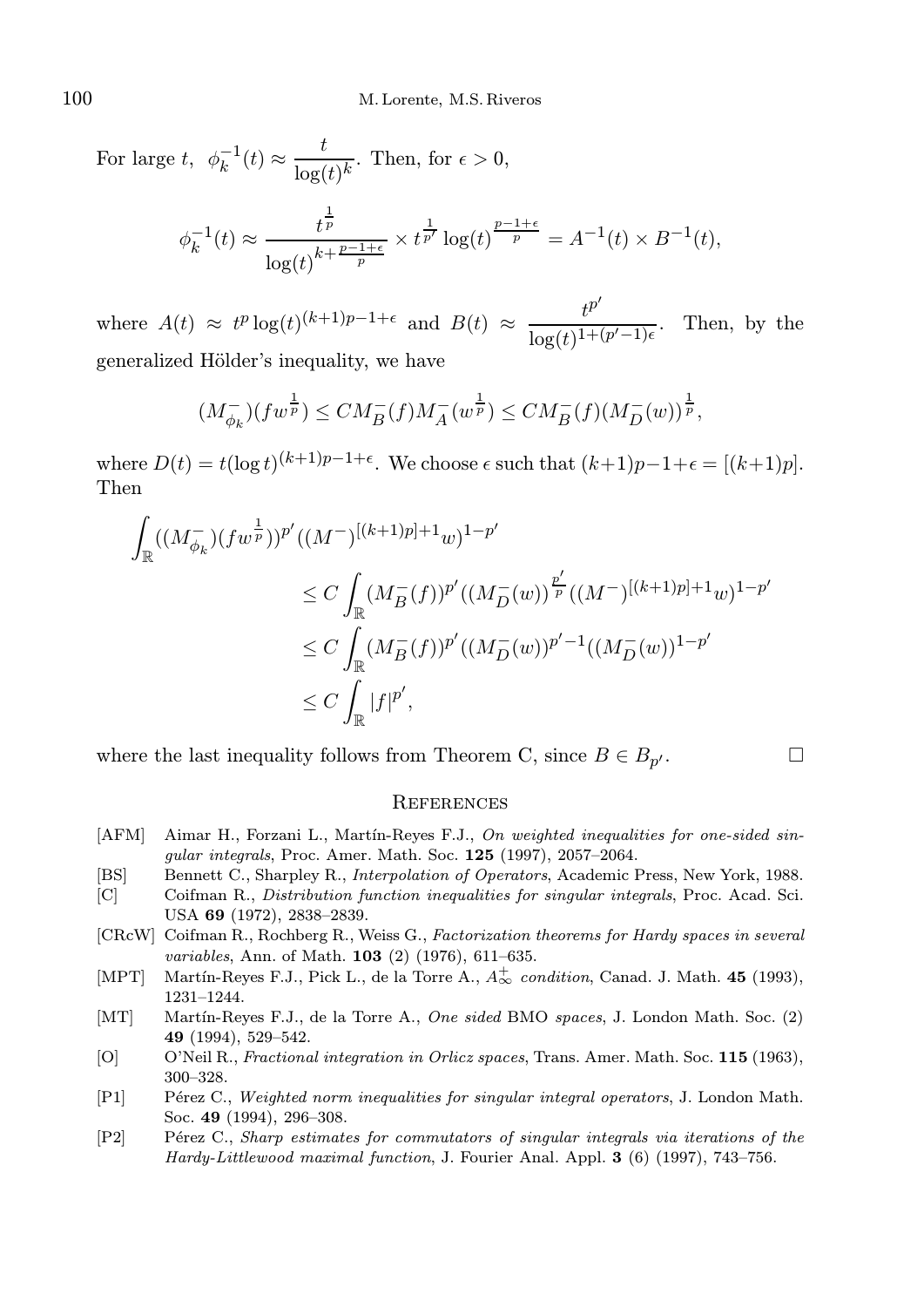For large t,  $\phi_k^{-1}(t) \approx \frac{t}{\log t}$  $\frac{\epsilon}{\log(t)^k}$ . Then, for  $\epsilon > 0$ ,  $\phi_k^{-1}(t) \approx \frac{t^{\frac{1}{p}}}{(t-k+1)^k}$  $\log(t)^{k+\frac{p-1+\epsilon}{p}}$  $\times t^{\frac{1}{p'}} \log(t)^{\frac{p-1+\epsilon}{p}} = A^{-1}(t) \times B^{-1}(t),$ 

where  $A(t) \approx t^p \log(t)^{(k+1)p-1+\epsilon}$  and  $B(t) \approx \frac{t^{p^k}}{1+e^{-(k+1)p}}$  $\frac{1}{\log(t)^{1+(p'-1)\epsilon}}$ . Then, by the generalized Hölder's inequality, we have

$$
(M_{\phi_k}^-)(fw^{\frac{1}{p}}) \leq CM_B^-(f)M_A^-(w^{\frac{1}{p}}) \leq CM_B^-(f)(M_D^-(w))^{\frac{1}{p}},
$$

where  $D(t) = t(\log t)^{(k+1)p-1+\epsilon}$ . We choose  $\epsilon$  such that  $(k+1)p-1+\epsilon = [(k+1)p]$ . Then

$$
\int_{\mathbb{R}} ((M_{\phi_k}^-)(fw^{\frac{1}{p}}))^p'((M^-)^{[(k+1)p]+1}w)^{1-p'}
$$
\n
$$
\leq C \int_{\mathbb{R}} (M_B^-(f))^p'((M_D^-(w))^{\frac{p'}{p}}((M^-)^{[(k+1)p]+1}w)^{1-p'}
$$
\n
$$
\leq C \int_{\mathbb{R}} (M_B^-(f))^p'((M_D^-(w))^{p'-1}((M_D^-(w))^{1-p'})
$$
\n
$$
\leq C \int_{\mathbb{R}} |f|^{p'},
$$

where the last inequality follows from Theorem C, since  $B \in B_{p'}$ .  $\sqrt{2}$ .

$$
\qquad \qquad \Box
$$

#### **REFERENCES**

- [AFM] Aimar H., Forzani L., Martín-Reyes F.J., On weighted inequalities for one-sided singular integrals, Proc. Amer. Math. Soc. 125 (1997), 2057–2064.
- [BS] Bennett C., Sharpley R., Interpolation of Operators, Academic Press, New York, 1988.
- [C] Coifman R., Distribution function inequalities for singular integrals, Proc. Acad. Sci. USA 69 (1972), 2838–2839.
- [CRcW] Coifman R., Rochberg R., Weiss G., Factorization theorems for Hardy spaces in several variables, Ann. of Math. **103** (2) (1976), 611-635.
- [MPT] Martín-Reyes F.J., Pick L., de la Torre A.,  $A_{\infty}^{+}$  condition, Canad. J. Math. 45 (1993), 1231–1244.
- [MT] Martín-Reyes F.J., de la Torre A., One sided BMO spaces, J. London Math. Soc. (2) 49 (1994), 529–542.
- [O] O'Neil R., *Fractional integration in Orlicz spaces*, Trans. Amer. Math. Soc. 115 (1963), 300–328.
- [P1] Pérez C., Weighted norm inequalities for singular integral operators, J. London Math. Soc. 49 (1994), 296–308.
- [P2] Pérez C., Sharp estimates for commutators of singular integrals via iterations of the Hardy-Littlewood maximal function, J. Fourier Anal. Appl. 3 (6) (1997), 743–756.